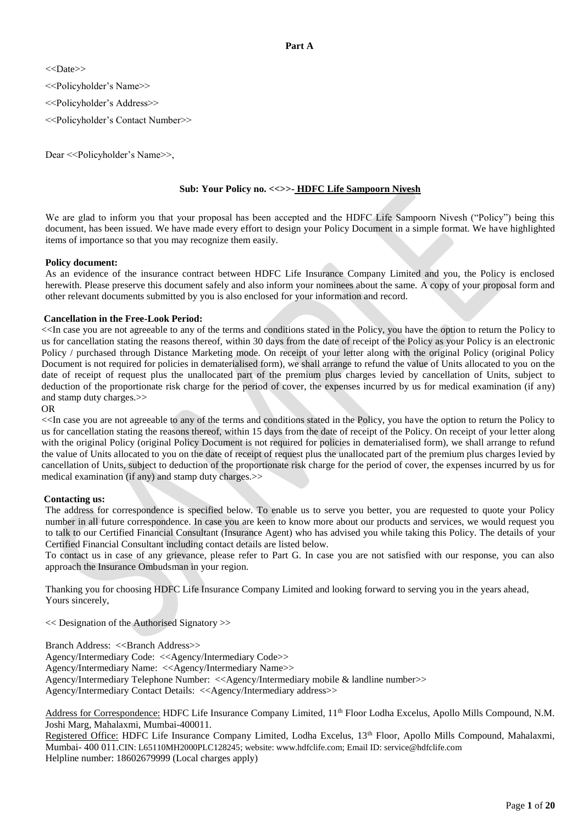# **Part A**

<<Date>>

<<Policyholder's Name>>

<<Policyholder's Address>>

<<Policyholder's Contact Number>>

Dear <<Policyholder's Name>>,

## **Sub: Your Policy no. <<>>- HDFC Life Sampoorn Nivesh**

We are glad to inform you that your proposal has been accepted and the HDFC Life Sampoorn Nivesh ("Policy") being this document, has been issued. We have made every effort to design your Policy Document in a simple format. We have highlighted items of importance so that you may recognize them easily.

## **Policy document:**

As an evidence of the insurance contract between HDFC Life Insurance Company Limited and you, the Policy is enclosed herewith. Please preserve this document safely and also inform your nominees about the same. A copy of your proposal form and other relevant documents submitted by you is also enclosed for your information and record.

## **Cancellation in the Free-Look Period:**

<<In case you are not agreeable to any of the terms and conditions stated in the Policy, you have the option to return the Policy to us for cancellation stating the reasons thereof, within 30 days from the date of receipt of the Policy as your Policy is an electronic Policy / purchased through Distance Marketing mode. On receipt of your letter along with the original Policy (original Policy Document is not required for policies in dematerialised form), we shall arrange to refund the value of Units allocated to you on the date of receipt of request plus the unallocated part of the premium plus charges levied by cancellation of Units, subject to deduction of the proportionate risk charge for the period of cover, the expenses incurred by us for medical examination (if any) and stamp duty charges.>>

## OR

<<In case you are not agreeable to any of the terms and conditions stated in the Policy, you have the option to return the Policy to us for cancellation stating the reasons thereof, within 15 days from the date of receipt of the Policy. On receipt of your letter along with the original Policy (original Policy Document is not required for policies in dematerialised form), we shall arrange to refund the value of Units allocated to you on the date of receipt of request plus the unallocated part of the premium plus charges levied by cancellation of Units, subject to deduction of the proportionate risk charge for the period of cover, the expenses incurred by us for medical examination (if any) and stamp duty charges.>>

# **Contacting us:**

The address for correspondence is specified below. To enable us to serve you better, you are requested to quote your Policy number in all future correspondence. In case you are keen to know more about our products and services, we would request you to talk to our Certified Financial Consultant (Insurance Agent) who has advised you while taking this Policy. The details of your Certified Financial Consultant including contact details are listed below.

To contact us in case of any grievance, please refer to Part G. In case you are not satisfied with our response, you can also approach the Insurance Ombudsman in your region.

Thanking you for choosing HDFC Life Insurance Company Limited and looking forward to serving you in the years ahead, Yours sincerely,

<< Designation of the Authorised Signatory >>

Branch Address: <<Br/>SBranch Address>>

Agency/Intermediary Code: <<Agency/Intermediary Code>>

Agency/Intermediary Name: <<Agency/Intermediary Name>>

Agency/Intermediary Telephone Number: <<Agency/Intermediary mobile & landline number>>

Agency/Intermediary Contact Details: <<Agency/Intermediary address>>

Address for Correspondence: HDFC Life Insurance Company Limited, 11<sup>th</sup> Floor Lodha Excelus, Apollo Mills Compound, N.M. Joshi Marg, Mahalaxmi, Mumbai-400011.

Registered Office: HDFC Life Insurance Company Limited, Lodha Excelus, 13<sup>th</sup> Floor, Apollo Mills Compound, Mahalaxmi, Mumbai- 400 011.CIN: L65110MH2000PLC128245; website: www.hdfclife.com; Email ID: service@hdfclife.com Helpline number: 18602679999 (Local charges apply)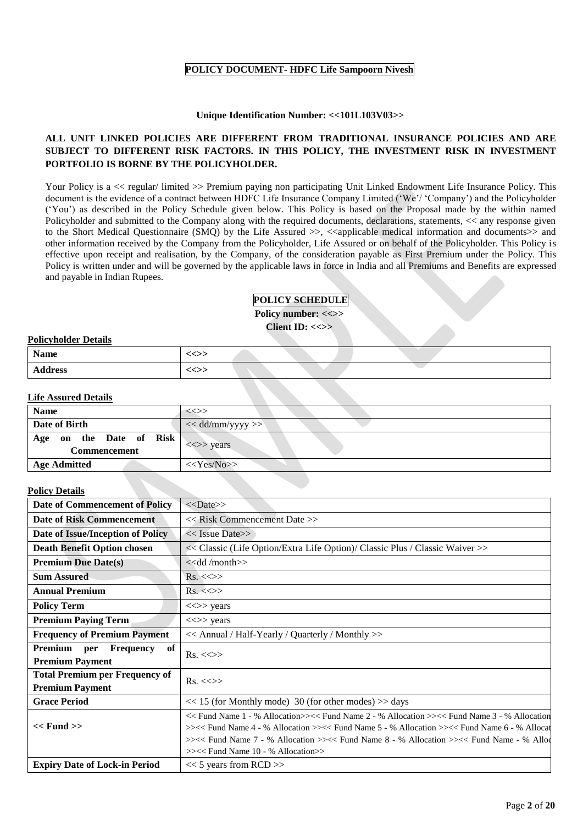# **POLICY DOCUMENT- HDFC Life Sampoorn Nivesh**

## **Unique Identification Number: <<101L103V03>>**

# **ALL UNIT LINKED POLICIES ARE DIFFERENT FROM TRADITIONAL INSURANCE POLICIES AND ARE SUBJECT TO DIFFERENT RISK FACTORS. IN THIS POLICY, THE INVESTMENT RISK IN INVESTMENT PORTFOLIO IS BORNE BY THE POLICYHOLDER.**

Your Policy is a << regular/ limited >> Premium paying non participating Unit Linked Endowment Life Insurance Policy. This document is the evidence of a contract between HDFC Life Insurance Company Limited ('We'/ 'Company') and the Policyholder ('You') as described in the Policy Schedule given below. This Policy is based on the Proposal made by the within named Policyholder and submitted to the Company along with the required documents, declarations, statements, << any response given to the Short Medical Questionnaire (SMQ) by the Life Assured  $\gg$ ,  $\ll$ applicable medical information and documents $\gg$  and other information received by the Company from the Policyholder, Life Assured or on behalf of the Policyholder. This Policy is effective upon receipt and realisation, by the Company, of the consideration payable as First Premium under the Policy. This Policy is written under and will be governed by the applicable laws in force in India and all Premiums and Benefits are expressed and payable in Indian Rupees.

# **POLICY SCHEDULE**

**Policy number: <<>>**

**Client ID: <<>>**

# **Policyholder Details**

| <b>Name</b>    | <<>> |  |  |
|----------------|------|--|--|
| <b>Address</b> | <<>> |  |  |

# **Life Assured Details**

| <b>Name</b>                                | $\iff$                                  |
|--------------------------------------------|-----------------------------------------|
| Date of Birth                              | $<<$ dd/mm/yyyy >>                      |
| on the Date of Risk<br>Age<br>Commencement | $\langle \langle \rangle \rangle$ years |
| <b>Age Admitted</b>                        | $<<\text{Yes/No}$                       |

# **Policy Details**

| <b>Date of Commencement of Policy</b>                           | $<<$ Date>>                                                                                                                                                                                                                                                                                                                                                              |  |  |  |
|-----------------------------------------------------------------|--------------------------------------------------------------------------------------------------------------------------------------------------------------------------------------------------------------------------------------------------------------------------------------------------------------------------------------------------------------------------|--|--|--|
| <b>Date of Risk Commencement</b>                                | < <risk commencement="" date="">&gt;</risk>                                                                                                                                                                                                                                                                                                                              |  |  |  |
| Date of Issue/Inception of Policy                               | $<<$ Issue Date>>                                                                                                                                                                                                                                                                                                                                                        |  |  |  |
| <b>Death Benefit Option chosen</b>                              | << Classic (Life Option/Extra Life Option)/ Classic Plus / Classic Waiver >>                                                                                                                                                                                                                                                                                             |  |  |  |
| <b>Premium Due Date(s)</b>                                      | $<<$ dd /month $>>$                                                                                                                                                                                                                                                                                                                                                      |  |  |  |
| <b>Sum Assured</b>                                              | $Rs. \ll\gg$                                                                                                                                                                                                                                                                                                                                                             |  |  |  |
| <b>Annual Premium</b>                                           | $Rs. \ll\gg$                                                                                                                                                                                                                                                                                                                                                             |  |  |  |
| <b>Policy Term</b>                                              | $\langle \langle \rangle \rangle$ years                                                                                                                                                                                                                                                                                                                                  |  |  |  |
| <b>Premium Paying Term</b>                                      | $\langle \langle \rangle \rangle$ years                                                                                                                                                                                                                                                                                                                                  |  |  |  |
| <b>Frequency of Premium Payment</b>                             | << Annual / Half-Yearly / Quarterly / Monthly >>                                                                                                                                                                                                                                                                                                                         |  |  |  |
| of<br>Premium<br>Frequency<br>per<br><b>Premium Payment</b>     | $Rs. \ll\gg$                                                                                                                                                                                                                                                                                                                                                             |  |  |  |
| <b>Total Premium per Frequency of</b><br><b>Premium Payment</b> | $Rs. < \gg$                                                                                                                                                                                                                                                                                                                                                              |  |  |  |
| <b>Grace Period</b>                                             | $<< 15$ (for Monthly mode) 30 (for other modes) $>>$ days                                                                                                                                                                                                                                                                                                                |  |  |  |
| $<<$ Fund $>>$                                                  | $<<$ Fund Name 1 - % Allocation>> $<<$ Fund Name 2 - % Allocation >> $<<$ Fund Name 3 - % Allocation<br>>><< Fund Name 4 - % Allocation >><< Fund Name 5 - % Allocation >><< Fund Name 6 - % Allocat<br>$\ge$ $\le$ Fund Name 7 - % Allocation $\ge$ $\le$ Fund Name 8 - % Allocation $\ge$ $\le$ Fund Name - % Allod<br>$>\times$ Fund Name 10 - % Allocation $>\times$ |  |  |  |
| <b>Expiry Date of Lock-in Period</b>                            | $<< 5$ years from RCD >>                                                                                                                                                                                                                                                                                                                                                 |  |  |  |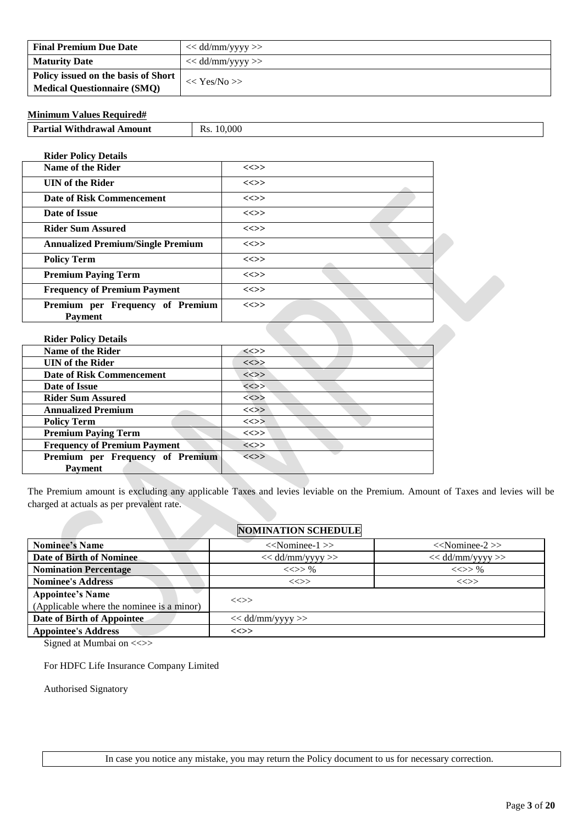| <b>Final Premium Due Date</b>       | $<<$ dd/mm/yyyy $>>$ |
|-------------------------------------|----------------------|
| <b>Maturity Date</b>                | $<<$ dd/mm/yyyy >>   |
| Policy issued on the basis of Short | $<<$ Yes/No >>       |
| <b>Medical Questionnaire (SMQ)</b>  |                      |

# **Minimum Values Required#**

**Rider Policy Details**

| <b>Name of the Rider</b>                           | $\iff$   |  |
|----------------------------------------------------|----------|--|
| <b>UIN</b> of the Rider                            | $\ll >>$ |  |
| <b>Date of Risk Commencement</b>                   | $\ll >>$ |  |
| Date of Issue                                      | $\iff$   |  |
| <b>Rider Sum Assured</b>                           | $\iff$   |  |
| <b>Annualized Premium/Single Premium</b>           | $\iff$   |  |
| <b>Policy Term</b>                                 | $\ll >>$ |  |
| <b>Premium Paying Term</b>                         | $\ll >>$ |  |
| <b>Frequency of Premium Payment</b>                | $\iff$   |  |
| Premium per Frequency of Premium<br><b>Payment</b> | $\iff$   |  |

| <b>Rider Policy Details</b>         |          |
|-------------------------------------|----------|
| <b>Name of the Rider</b>            | $\ll >>$ |
| <b>UIN</b> of the Rider             | $\ll >>$ |
| Date of Risk Commencement           | $\ll>>$  |
| Date of Issue                       | $\ll >>$ |
| <b>Rider Sum Assured</b>            | $\iff$   |
| <b>Annualized Premium</b>           | $\ll >>$ |
| <b>Policy Term</b>                  | $\ll >>$ |
| <b>Premium Paying Term</b>          | $\ll >>$ |
| <b>Frequency of Premium Payment</b> | $\ll >>$ |
| Premium per Frequency of Premium    | $\iff$   |
| <b>Payment</b>                      |          |

The Premium amount is excluding any applicable Taxes and levies leviable on the Premium. Amount of Taxes and levies will be charged at actuals as per prevalent rate.

# **NOMINATION SCHEDULE**

| <b>Nominee's Name</b>                     | $<<$ Nominee-1 $>>$<br>$<<$ Nominee-2 $>>$ |             |  |  |
|-------------------------------------------|--------------------------------------------|-------------|--|--|
| Date of Birth of Nominee                  | $<<$ dd/mm/yyyy >><br>$<<$ dd/mm/yyyy $>>$ |             |  |  |
| <b>Nomination Percentage</b>              | $\ll >> \%$                                | $\ll >> \%$ |  |  |
| <b>Nominee's Address</b>                  | $\ll>>$                                    | $\iff$      |  |  |
| <b>Appointee's Name</b>                   |                                            |             |  |  |
| (Applicable where the nominee is a minor) | $\iff$                                     |             |  |  |
| Date of Birth of Appointee                | $<<$ dd/mm/yyyy $>>$                       |             |  |  |
| <b>Appointee's Address</b>                | <<>>                                       |             |  |  |

Signed at Mumbai on <<>>

For HDFC Life Insurance Company Limited

Authorised Signatory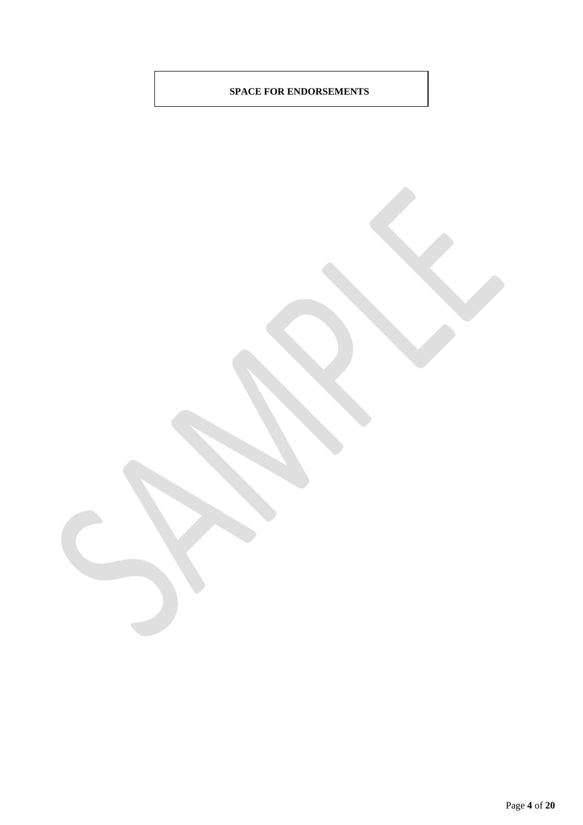# **SPACE FOR ENDORSEMENTS**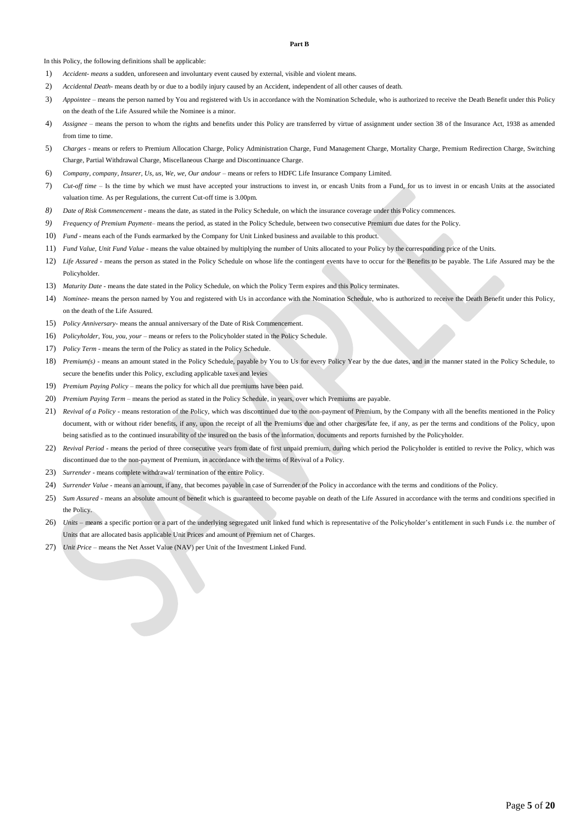#### **Part B**

In this Policy, the following definitions shall be applicable:

- 1) *Accident- means* a sudden, unforeseen and involuntary event caused by external, visible and violent means.
- 2) *Accidental Death-* means death by or due to a bodily injury caused by an Accident, independent of all other causes of death.
- 3) *Appointee* means the person named by You and registered with Us in accordance with the Nomination Schedule, who is authorized to receive the Death Benefit under this Policy on the death of the Life Assured while the Nominee is a minor.
- 4) Assignee means the person to whom the rights and benefits under this Policy are transferred by virtue of assignment under section 38 of the Insurance Act, 1938 as amended from time to time.
- 5) *Charges -* means or refers to Premium Allocation Charge, Policy Administration Charge, Fund Management Charge, Mortality Charge, Premium Redirection Charge, Switching Charge, Partial Withdrawal Charge, Miscellaneous Charge and Discontinuance Charge.
- 6) *Company, company, Insurer, Us, us, We, we, Our andour*  means or refers to HDFC Life Insurance Company Limited.
- 7) *Cut-off time*  Is the time by which we must have accepted your instructions to invest in, or encash Units from a Fund, for us to invest in or encash Units at the associated valuation time. As per Regulations, the current Cut-off time is 3.00pm.
- *8) Date of Risk Commencement -* means the date, as stated in the Policy Schedule, on which the insurance coverage under this Policy commences.
- *9) Frequency of Premium Payment–* means the period, as stated in the Policy Schedule, between two consecutive Premium due dates for the Policy.
- 10) *Fund* means each of the Funds earmarked by the Company for Unit Linked business and available to this product.
- 11) *Fund Value, Unit Fund Value* means the value obtained by multiplying the number of Units allocated to your Policy by the corresponding price of the Units.
- 12) *Life Assured* means the person as stated in the Policy Schedule on whose life the contingent events have to occur for the Benefits to be payable. The Life Assured may be the Policyholder.
- 13) *Maturity Date* means the date stated in the Policy Schedule, on which the Policy Term expires and this Policy terminates.
- 14) *Nominee-* means the person named by You and registered with Us in accordance with the Nomination Schedule, who is authorized to receive the Death Benefit under this Policy, on the death of the Life Assured.
- 15) *Policy Anniversary-* means the annual anniversary of the Date of Risk Commencement.
- 16) *Policyholder, You, you, your* means or refers to the Policyholder stated in the Policy Schedule.
- 17) *Policy Term*  means the term of the Policy as stated in the Policy Schedule.
- 18) *Premium(s)* means an amount stated in the Policy Schedule, payable by You to Us for every Policy Year by the due dates, and in the manner stated in the Policy Schedule, to secure the benefits under this Policy, excluding applicable taxes and levies
- 19) *Premium Paying Policy* means the policy for which all due premiums have been paid.
- 20) *Premium Paying Term –* means the period as stated in the Policy Schedule, in years, over which Premiums are payable.
- 21) *Revival of a Policy* means restoration of the Policy, which was discontinued due to the non-payment of Premium, by the Company with all the benefits mentioned in the Policy document, with or without rider benefits, if any, upon the receipt of all the Premiums due and other charges/late fee, if any, as per the terms and conditions of the Policy, upon being satisfied as to the continued insurability of the insured on the basis of the information, documents and reports furnished by the Policyholder.
- 22) *Revival Period* means the period of three consecutive years from date of first unpaid premium, during which period the Policyholder is entitled to revive the Policy, which was discontinued due to the non-payment of Premium, in accordance with the terms of Revival of a Policy.
- 23) *Surrender* means complete withdrawal/ termination of the entire Policy.
- 24) *Surrender Value* means an amount, if any, that becomes payable in case of Surrender of the Policy in accordance with the terms and conditions of the Policy.
- 25) *Sum Assured* means an absolute amount of benefit which is guaranteed to become payable on death of the Life Assured in accordance with the terms and conditions specified in the Policy.
- 26) *Units* means a specific portion or a part of the underlying segregated unit linked fund which is representative of the Policyholder's entitlement in such Funds i.e. the number of Units that are allocated basis applicable Unit Prices and amount of Premium net of Charges.
- 27) *Unit Price* means the Net Asset Value (NAV) per Unit of the Investment Linked Fund.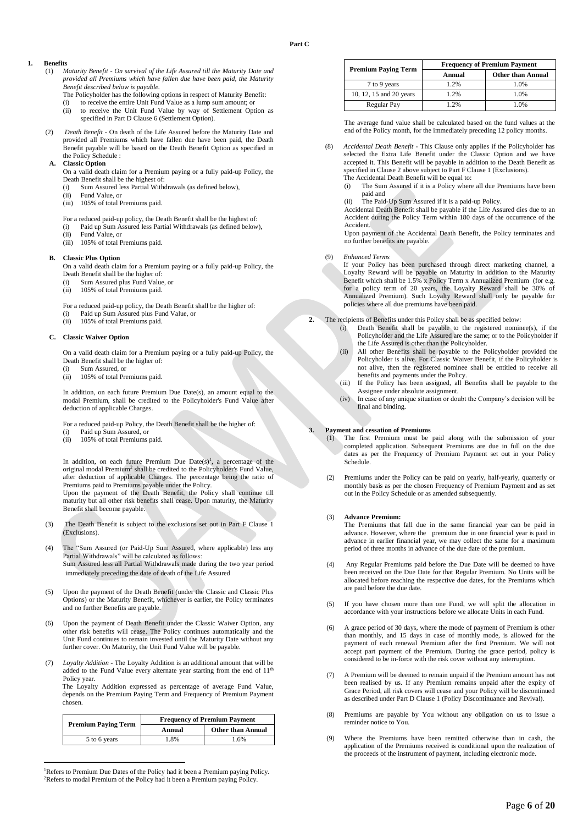### **1. Benefits**

- (1) *Maturity Benefit - On survival of the Life Assured till the Maturity Date and provided all Premiums which have fallen due have been paid, the Maturity Benefit described below is payable.*
	- The Policyholder has the following options in respect of Maturity Benefit: (i) to receive the entire Unit Fund Value as a lump sum amount; or
	- (ii) to receive the Unit Fund Value by way of Settlement Option as specified in Part D Clause 6 (Settlement Option).
- (2) *Death Benefit* On death of the Life Assured before the Maturity Date and provided all Premiums which have fallen due have been paid, the Death Benefit payable will be based on the Death Benefit Option as specified in the Policy Schedule :

### **A. Classic Option**

- On a valid death claim for a Premium paying or a fully paid-up Policy, the Death Benefit shall be the highest of:
- (i) Sum Assured less Partial Withdrawals (as defined below),
- (ii) Fund Value, or
- (iii) 105% of total Premiums paid.

For a reduced paid-up policy, the Death Benefit shall be the highest of:

- (i) Paid up Sum Assured less Partial Withdrawals (as defined below),
- (ii) Fund Value, or
- (iii) 105% of total Premiums paid.

### **B. Classic Plus Option**

- On a valid death claim for a Premium paying or a fully paid-up Policy, the Death Benefit shall be the higher of:
- (i) Sum Assured plus Fund Value, or
- (ii) 105% of total Premiums paid.
- For a reduced paid-up policy, the Death Benefit shall be the higher of:
- (i) Paid up Sum Assured plus Fund Value, or
- (ii) 105% of total Premiums paid.

### **C. Classic Waiver Option**

On a valid death claim for a Premium paying or a fully paid-up Policy, the Death Benefit shall be the higher of:

- (i) Sum Assured, or
- (ii) 105% of total Premiums paid.

In addition, on each future Premium Due Date(s), an amount equal to the modal Premium, shall be credited to the Policyholder's Fund Value after deduction of applicable Charges.

For a reduced paid-up Policy, the Death Benefit shall be the higher of:

- (i) Paid up Sum Assured, or
- (ii) 105% of total Premiums paid.

In addition, on each future Premium Due  $Date(s)<sup>1</sup>$ , a percentage of the original modal Premium<sup>2</sup> shall be credited to the Policyholder's Fund Value, after deduction of applicable Charges. The percentage being the ratio of Premiums paid to Premiums payable under the Policy.

Upon the payment of the Death Benefit, the Policy shall continue till maturity but all other risk benefits shall cease. Upon maturity, the Maturity Benefit shall become payable.

- (3) The Death Benefit is subject to the exclusions set out in Part F Clause 1 (Exclusions).
- (4) The "Sum Assured (or Paid-Up Sum Assured, where applicable) less any Partial Withdrawals" will be calculated as follows: Sum Assured less all Partial Withdrawals made during the two year period immediately preceding the date of death of the Life Assured
- (5) Upon the payment of the Death Benefit (under the Classic and Classic Plus Options) or the Maturity Benefit, whichever is earlier, the Policy terminates and no further Benefits are payable.
- Upon the payment of Death Benefit under the Classic Waiver Option, any other risk benefits will cease. The Policy continues automatically and the Unit Fund continues to remain invested until the Maturity Date without any further cover. On Maturity, the Unit Fund Value will be payable.
- (7) *Loyalty Addition* The Loyalty Addition is an additional amount that will be added to the Fund Value every alternate year starting from the end of  $11<sup>th</sup>$ Policy year.

The Loyalty Addition expressed as percentage of average Fund Value, depends on the Premium Paying Term and Frequency of Premium Payment chosen.

| <b>Premium Paying Term</b> | <b>Frequency of Premium Payment</b> |                          |  |
|----------------------------|-------------------------------------|--------------------------|--|
|                            | Annual                              | <b>Other than Annual</b> |  |
| 5 to 6 years               | 1.8%                                | 1.6%                     |  |

<sup>&</sup>lt;sup>1</sup>Refers to Premium Due Dates of the Policy had it been a Premium paying Policy. <sup>2</sup>Refers to modal Premium of the Policy had it been a Premium paying Policy.

 $\ddot{\phantom{a}}$ 

| <b>Premium Paving Term</b> | <b>Frequency of Premium Payment</b> |                          |  |
|----------------------------|-------------------------------------|--------------------------|--|
|                            | Annual                              | <b>Other than Annual</b> |  |
| 7 to 9 years               | 1.2%                                | 1.0%                     |  |
| 10, 12, 15 and 20 years    | 1.2%                                | 1.0%                     |  |
| Regular Pay                | 1.2%                                | 1.0%                     |  |

The average fund value shall be calculated based on the fund values at the end of the Policy month, for the immediately preceding 12 policy months.

- (8) *Accidental Death Benefit* This Clause only applies if the Policyholder has selected the Extra Life Benefit under the Classic Option and we have accepted it. This Benefit will be payable in addition to the Death Benefit as specified in Clause 2 above subject to Part F Clause 1 (Exclusions). The Accidental Death Benefit will be equal to:
	- (i) The Sum Assured if it is a Policy where all due Premiums have been paid and
	- (ii) The Paid-Up Sum Assured if it is a paid-up Policy.

Accidental Death Benefit shall be payable if the Life Assured dies due to an Accident during the Policy Term within 180 days of the occurrence of the Accident.

Upon payment of the Accidental Death Benefit, the Policy terminates and no further benefits are payable.

#### (9) *Enhanced Terms*

If your Policy has been purchased through direct marketing channel, a Loyalty Reward will be payable on Maturity in addition to the Maturity Benefit which shall be 1.5% x Policy Term x Annualized Premium (for e.g. for a policy term of 20 years, the Loyalty Reward shall be 30% of Annualized Premium). Such Loyalty Reward shall only be payable for policies where all due premiums have been paid.

- **2.** The recipients of Benefits under this Policy shall be as specified below:
	- (i) Death Benefit shall be payable to the registered nominee(s), if the Policyholder and the Life Assured are the same; or to the Policyholder if the Life Assured is other than the Policyholder.
	- (ii) All other Benefits shall be payable to the Policyholder provided the Policyholder is alive. For Classic Waiver Benefit, if the Policyholder is not alive, then the registered nominee shall be entitled to receive all benefits and payments under the Policy.
	- (iii) If the Policy has been assigned, all Benefits shall be payable to the Assignee under absolute assignment.
	- (iv) In case of any unique situation or doubt the Company's decision will be final and binding.

### **3. Payment and cessation of Premiums**

- (1) The first Premium must be paid along with the submission of your completed application. Subsequent Premiums are due in full on the due dates as per the Frequency of Premium Payment set out in your Policy Schedule.
- (2) Premiums under the Policy can be paid on yearly, half-yearly, quarterly or monthly basis as per the chosen Frequency of Premium Payment and as set out in the Policy Schedule or as amended subsequently.

#### (3) **Advance Premium:**

The Premiums that fall due in the same financial year can be paid in advance. However, where the premium due in one financial year is paid in advance in earlier financial year, we may collect the same for a maximum period of three months in advance of the due date of the premium.

- (4) Any Regular Premiums paid before the Due Date will be deemed to have been received on the Due Date for that Regular Premium. No Units will be allocated before reaching the respective due dates, for the Premiums which are paid before the due date.
- (5) If you have chosen more than one Fund, we will split the allocation in accordance with your instructions before we allocate Units in each Fund.
- (6) A grace period of 30 days, where the mode of payment of Premium is other than monthly, and 15 days in case of monthly mode, is allowed for the payment of each renewal Premium after the first Premium. We will not accept part payment of the Premium. During the grace period, policy is considered to be in-force with the risk cover without any interruption.
- (7) A Premium will be deemed to remain unpaid if the Premium amount has not been realised by us. If any Premium remains unpaid after the expiry of Grace Period, all risk covers will cease and your Policy will be discontinued as described under Part D Clause 1 (Policy Discontinuance and Revival).
- (8) Premiums are payable by You without any obligation on us to issue a reminder notice to You.
- (9) Where the Premiums have been remitted otherwise than in cash, the application of the Premiums received is conditional upon the realization of the proceeds of the instrument of payment, including electronic mode.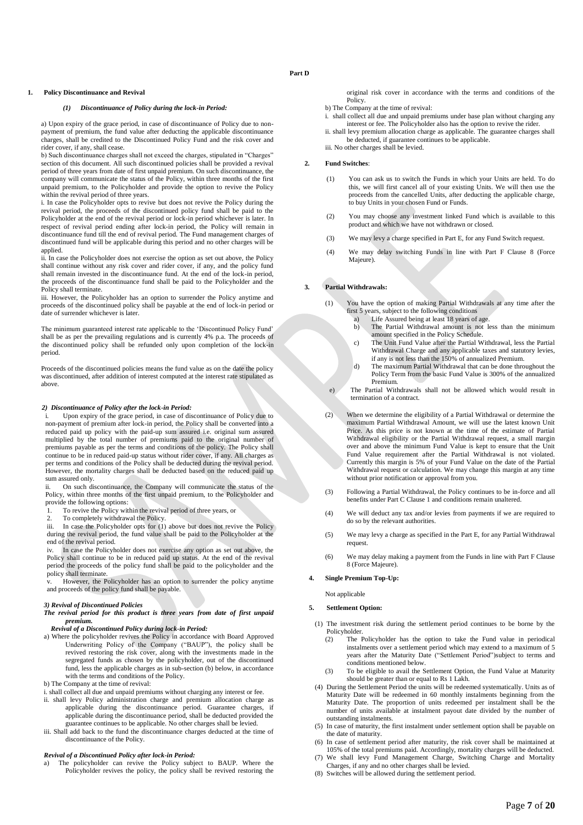### **Part D**

#### **1. Policy Discontinuance and Revival**

#### *(1) Discontinuance of Policy during the lock-in Period:*

a) Upon expiry of the grace period, in case of discontinuance of Policy due to nonpayment of premium, the fund value after deducting the applicable discontinuance charges, shall be credited to the Discontinued Policy Fund and the risk cover and rider cover, if any, shall cease.

b) Such discontinuance charges shall not exceed the charges, stipulated in "Charges" section of this document. All such discontinued policies shall be provided a revival period of three years from date of first unpaid premium. On such discontinuance, the company will communicate the status of the Policy, within three months of the first unpaid premium, to the Policyholder and provide the option to revive the Policy within the revival period of three years.

i. In case the Policyholder opts to revive but does not revive the Policy during the revival period, the proceeds of the discontinued policy fund shall be paid to the Policyholder at the end of the revival period or lock-in period whichever is later. In respect of revival period ending after lock-in period, the Policy will remain in discontinuance fund till the end of revival period. The Fund management charges of discontinued fund will be applicable during this period and no other charges will be applied.

ii. In case the Policyholder does not exercise the option as set out above, the Policy shall continue without any risk cover and rider cover, if any, and the policy fund shall remain invested in the discontinuance fund. At the end of the lock-in period, the proceeds of the discontinuance fund shall be paid to the Policyholder and the Policy shall terminate.

iii. However, the Policyholder has an option to surrender the Policy anytime and proceeds of the discontinued policy shall be payable at the end of lock-in period or date of surrender whichever is later.

The minimum guaranteed interest rate applicable to the 'Discontinued Policy Fund' shall be as per the prevailing regulations and is currently 4% p.a. The proceeds of the discontinued policy shall be refunded only upon completion of the lock-in period.

Proceeds of the discontinued policies means the fund value as on the date the policy was discontinued, after addition of interest computed at the interest rate stipulated as above.

#### *2) Discontinuance of Policy after the lock-in Period:*

Upon expiry of the grace period, in case of discontinuance of Policy due to non-payment of premium after lock-in period, the Policy shall be converted into a reduced paid up policy with the paid-up sum assured i.e. original sum assured multiplied by the total number of premiums paid to the original number of premiums payable as per the terms and conditions of the policy. The Policy shall continue to be in reduced paid-up status without rider cover, if any. All charges as per terms and conditions of the Policy shall be deducted during the revival period. However, the mortality charges shall be deducted based on the reduced paid up sum assured only.

On such discontinuance, the Company will communicate the status of the Policy, within three months of the first unpaid premium, to the Policyholder and provide the following options:

1. To revive the Policy within the revival period of three years, or

2. To completely withdrawal the Policy.

iii. In case the Policyholder opts for (1) above but does not revive the Policy during the revival period, the fund value shall be paid to the Policyholder at the end of the revival period.

In case the Policyholder does not exercise any option as set out above, the Policy shall continue to be in reduced paid up status. At the end of the revival period the proceeds of the policy fund shall be paid to the policyholder and the policy shall terminate.

v. However, the Policyholder has an option to surrender the policy anytime and proceeds of the policy fund shall be payable.

### *3) Revival of Discontinued Policies*

#### *The revival period for this product is three years from date of first unpaid premium.*

### *Revival of a Discontinued Policy during lock-in Period:*

a) Where the policyholder revives the Policy in accordance with Board Approved Underwriting Policy of the Company ("BAUP"), the policy shall be revived restoring the risk cover, along with the investments made in the segregated funds as chosen by the policyholder, out of the discontinued fund, less the applicable charges as in sub-section (b) below, in accordance with the terms and conditions of the Policy.

b) The Company at the time of revival:

i. shall collect all due and unpaid premiums without charging any interest or fee.

- ii. shall levy Policy administration charge and premium allocation charge as applicable during the discontinuance period. Guarantee charges, if applicable during the discontinuance period, shall be deducted provided the guarantee continues to be applicable. No other charges shall be levied.
- iii. Shall add back to the fund the discontinuance charges deducted at the time of discontinuance of the Policy.

### *Revival of a Discontinued Policy after lock-in Period:*

a) The policyholder can revive the Policy subject to BAUP. Where the Policyholder revives the policy, the policy shall be revived restoring the

original risk cover in accordance with the terms and conditions of the Policy.

- b) The Company at the time of revival:
- i. shall collect all due and unpaid premiums under base plan without charging any interest or fee. The Policyholder also has the option to revive the rider.

ii. shall levy premium allocation charge as applicable. The guarantee charges shall be deducted, if guarantee continues to be applicable. iii. No other charges shall be levied.

#### **2. Fund Switches**:

- (1) You can ask us to switch the Funds in which your Units are held. To do this, we will first cancel all of your existing Units. We will then use the proceeds from the cancelled Units, after deducting the applicable charge, to buy Units in your chosen Fund or Funds.
- (2) You may choose any investment linked Fund which is available to this product and which we have not withdrawn or closed.
- (3) We may levy a charge specified in Part E, for any Fund Switch request.
- (4) We may delay switching Funds in line with Part F Clause 8 (Force Majeure).

### **3. Partial Withdrawals:**

- (1) You have the option of making Partial Withdrawals at any time after the first 5 years, subject to the following conditions
	- a) Life Assured being at least 18 years of age.<br>b) The Partial Withdrawal amount is not 1
		- The Partial Withdrawal amount is not less than the minimum amount specified in the Policy Schedule.
	- c) The Unit Fund Value after the Partial Withdrawal, less the Partial Withdrawal Charge and any applicable taxes and statutory levies, if any is not less than the 150% of annualized Premium.
	- d) The maximum Partial Withdrawal that can be done throughout the Policy Term from the basic Fund Value is 300% of the annualized Premium.
- e) The Partial Withdrawals shall not be allowed which would result in termination of a contract.
- (2) When we determine the eligibility of a Partial Withdrawal or determine the maximum Partial Withdrawal Amount, we will use the latest known Unit Price. As this price is not known at the time of the estimate of Partial Withdrawal eligibility or the Partial Withdrawal request, a small margin over and above the minimum Fund Value is kept to ensure that the Unit Fund Value requirement after the Partial Withdrawal is not violated. Currently this margin is 5% of your Fund Value on the date of the Partial Withdrawal request or calculation. We may change this margin at any time without prior notification or approval from you.
- (3) Following a Partial Withdrawal, the Policy continues to be in-force and all benefits under Part C Clause 1 and conditions remain unaltered.
- (4) We will deduct any tax and/or levies from payments if we are required to do so by the relevant authorities.
- (5) We may levy a charge as specified in the Part E, for any Partial Withdrawal request.
- (6) We may delay making a payment from the Funds in line with Part F Clause 8 (Force Majeure).

### **4. Single Premium Top-Up:**

Not applicable

### **5. Settlement Option:**

- (1) The investment risk during the settlement period continues to be borne by the Policyholder.
	- (2) The Policyholder has the option to take the Fund value in periodical instalments over a settlement period which may extend to a maximum of 5 years after the Maturity Date ("Settlement Period")subject to terms and conditions mentioned below.
	- (3) To be eligible to avail the Settlement Option, the Fund Value at Maturity should be greater than or equal to Rs 1 Lakh.
- (4) During the Settlement Period the units will be redeemed systematically. Units as of Maturity Date will be redeemed in 60 monthly instalments beginning from the Maturity Date. The proportion of units redeemed per instalment shall be the number of units available at instalment payout date divided by the number of outstanding instalments.
- (5) In case of maturity, the first instalment under settlement option shall be payable on the date of maturity.
- (6) In case of settlement period after maturity, the risk cover shall be maintained at 105% of the total premiums paid. Accordingly, mortality charges will be deducted.
- (7) We shall levy Fund Management Charge, Switching Charge and Mortality Charges, if any and no other charges shall be levied.
- (8) Switches will be allowed during the settlement period.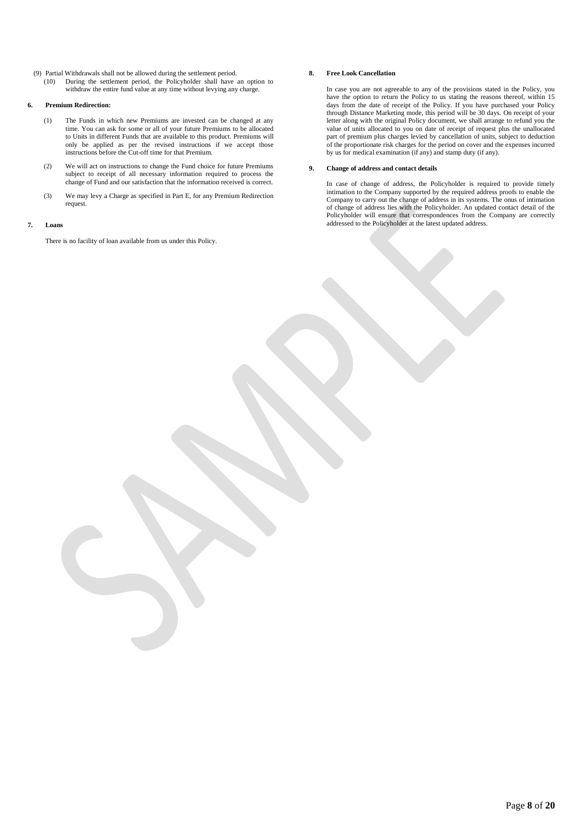- (9) Partial Withdrawals shall not be allowed during the settlement period.
	- During the settlement period, the Policyholder shall have an option to withdraw the entire fund value at any time without levying any charge.

### **6. Premium Redirection:**

- (1) The Funds in which new Premiums are invested can be changed at any time. You can ask for some or all of your future Premiums to be allocated to Units in different Funds that are available to this product. Premiums will only be applied as per the revised instructions if we accept those instructions before the Cut-off time for that Premium.
- (2) We will act on instructions to change the Fund choice for future Premiums subject to receipt of all necessary information required to process the change of Fund and our satisfaction that the information received is correct.
- (3) We may levy a Charge as specified in Part E, for any Premium Redirection request.

### **7. Loans**

There is no facility of loan available from us under this Policy.

### **8. Free Look Cancellation**

In case you are not agreeable to any of the provisions stated in the Policy, you have the option to return the Policy to us stating the reasons thereof, within 15 days from the date of receipt of the Policy. If you have purchased your Policy through Distance Marketing mode, this period will be 30 days. On receipt of your letter along with the original Policy document, we shall arrange to refund you the value of units allocated to you on date of receipt of request plus the unallocated part of premium plus charges levied by cancellation of units, subject to deduction of the proportionate risk charges for the period on cover and the expenses incurred by us for medical examination (if any) and stamp duty (if any).

### **9. Change of address and contact details**

In case of change of address, the Policyholder is required to provide timely intimation to the Company supported by the required address proofs to enable the Company to carry out the change of address in its systems. The onus of intimation of change of address lies with the Policyholder. An updated contact detail of the Policyholder will ensure that correspondences from the Company are correctly addressed to the Policyholder at the latest updated address.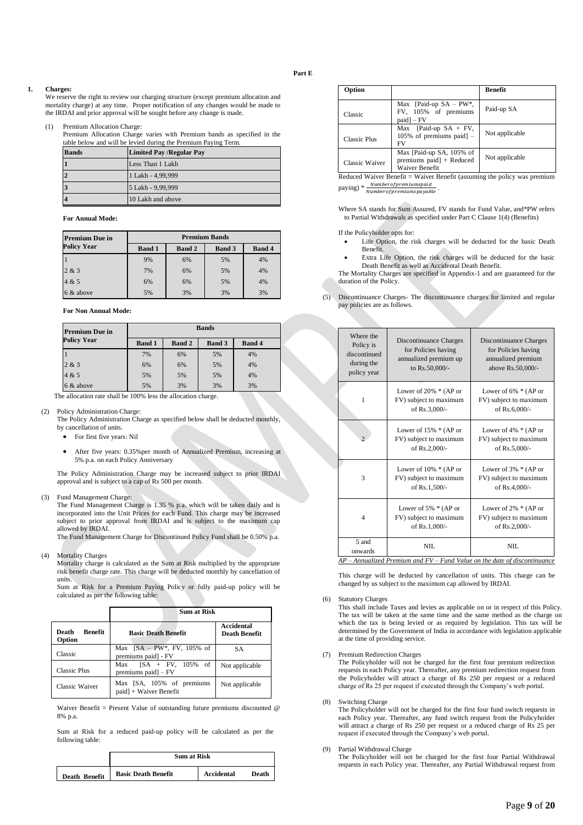### **Part E**

#### **1. Charges:**

We reserve the right to review our charging structure (except premium allocation and mortality charge) at any time. Proper notification of any changes would be made to the IRDAI and prior approval will be sought before any change is made.

#### (1) Premium Allocation Charge:

Premium Allocation Charge varies with Premium bands as specified in the table below and will be levied during the Premium Paying Term.

| <b>Bands</b> | <b>Limited Pay /Regular Pay</b> |
|--------------|---------------------------------|
|              | Less Than 1 Lakh                |
|              | 1 Lakh - 4,99,999               |
|              | 5 Lakh - 9,99,999               |
|              | 10 Lakh and above               |

**For Annual Mode:**

| <b>Premium Due in</b> | <b>Premium Bands</b> |               |               |               |
|-----------------------|----------------------|---------------|---------------|---------------|
| <b>Policy Year</b>    | <b>Band 1</b>        | <b>Band 2</b> | <b>Band 3</b> | <b>Band 4</b> |
|                       | 9%                   | 6%            | 5%            | 4%            |
| 2 & 3                 | 7%                   | 6%            | 5%            | 4%            |
| 4 & 5                 | 6%                   | 6%            | 5%            | 4%            |
| 6 & above             | 5%                   | 3%            | 3%            | 3%            |

**For Non Annual Mode:**

| <b>Premium Due in</b> | <b>Bands</b>                                                     |    |    |    |
|-----------------------|------------------------------------------------------------------|----|----|----|
| Policy Year           | <b>Band 1</b><br><b>Band 2</b><br><b>Band 3</b><br><b>Band 4</b> |    |    |    |
|                       | 7%                                                               | 6% | 5% | 4% |
| 2 & 3                 | 6%                                                               | 6% | 5% | 4% |
| 4 & 5                 | 5%                                                               | 5% | 5% | 4% |
| 6 & above             | 5%                                                               | 3% | 3% | 3% |

The allocation rate shall be 100% less the allocation charge.

(2) Policy Administration Charge:

The Policy Administration Charge as specified below shall be deducted monthly, by cancellation of units.

- For first five years: Nil
- After five years: 0.35%per month of Annualized Premium, increasing at 5% p.a. on each Policy Anniversary

The Policy Administration Charge may be increased subject to prior IRDAI approval and is subject to a cap of Rs 500 per month.

(3) Fund Management Charge:

The Fund Management Charge is 1.35 % p.a. which will be taken daily and is incorporated into the Unit Prices for each Fund. This charge may be increased subject to prior approval from IRDAI and is subject to the maximum cap allowed by IRDAI.

The Fund Management Charge for Discontinued Policy Fund shall be 0.50% p.a.

(4) Mortality Charges

Mortality charge is calculated as the Sum at Risk multiplied by the appropriate risk benefit charge rate. This charge will be deducted monthly by cancellation of units.

Sum at Risk for a Premium Paying Policy or fully paid-up policy will be calculated as per the following table:

|                                   | <b>Sum at Risk</b>                                      |                                    |
|-----------------------------------|---------------------------------------------------------|------------------------------------|
| <b>Benefit</b><br>Death<br>Option | <b>Basic Death Benefit</b>                              | Accidental<br><b>Death Benefit</b> |
| Classic                           | Max $[SA - PW^*$ , FV, 105% of<br>premiums paid] - FV   | <b>SA</b>                          |
| Classic Plus                      | $[SA + FV, 105\%$ of<br>Max<br>premiums $paid$ ] – $FV$ | Not applicable                     |
| Classic Waiver                    | Max [SA, 105% of premiums<br>paid] + Waiver Benefit     | Not applicable                     |

Waiver Benefit = Present Value of outstanding future premiums discounted  $\omega$ 8% p.a.

Sum at Risk for a reduced paid-up policy will be calculated as per the following table:

|               | <b>Sum at Risk</b>         |            |       |
|---------------|----------------------------|------------|-------|
| Death Benefit | <b>Basic Death Benefit</b> | Accidental | Death |

| Option                                                                                           |                                                                    | <b>Benefit</b> |
|--------------------------------------------------------------------------------------------------|--------------------------------------------------------------------|----------------|
| Classic                                                                                          | Max [Paid-up $SA - PW^*$ ,<br>FV, 105% of premiums<br>$paidl - FV$ | Paid-up SA     |
| Classic Plus                                                                                     | Max [Paid-up $SA + FV$ ,<br>$105\%$ of premiums paid $-$<br>FV     | Not applicable |
| Max [Paid-up SA, 105% of<br>premiums $paid$ + Reduced<br><b>Classic Waiver</b><br>Waiver Benefit |                                                                    | Not applicable |

Reduced Waiver Benefit = Waiver Benefit (assuming the policy was premium  $\text{paying}$ ) \*  $\frac{\text{Numberof premiums paid}}{\text{Numberof premiums payable}}$ .

Where SA stands for Sum Assured, FV stands for Fund Value, and\*PW refers to Partial Withdrawals as specified under Part C Clause 1(4) (Benefits)

If the Policyholder opts for:

- Life Option, the risk charges will be deducted for the basic Death Benefit.
- Extra Life Option, the risk charges will be deducted for the basic Death Benefit as well as Accidental Death Benefit.

The Mortality Charges are specified in Appendix-1 and are guaranteed for the duration of the Policy.

(5) Discontinuance Charges- The discontinuance charges for limited and regular pay policies are as follows.

| Where the<br><b>Discontinuance Charges</b><br><b>Discontinuance Charges</b><br>Policy is<br>for Policies having<br>for Policies having<br>discontinued<br>annualized premium up<br>annualized premium<br>during the<br>to Rs.50,000/-<br>above Rs.50,000/-<br>policy year<br>Lower of $20\% * (AP \text{ or }$<br>Lower of $6\% * (AP \text{ or }$<br>FV) subject to maximum<br>FV) subject to maximum<br>1<br>of Rs.3,000/-<br>of Rs.6,000/-<br>Lower of $15\% * (AP \text{ or }$<br>Lower of $4\% * (AP \text{ or }$<br>FV) subject to maximum<br>FV) subject to maximum<br>of Rs.2,000/-<br>of Rs.5,000/-<br>Lower of $10\% * (AP or$<br>Lower of $3\% * (AP \text{ or }$<br>FV) subject to maximum<br>3<br>FV) subject to maximum<br>of Rs.1,500/-<br>of Rs.4,000/-<br>Lower of $5\% * (AP \text{ or }$<br>Lower of $2\%$ * (AP or<br>FV) subject to maximum<br>FV) subject to maximum<br>4<br>of Rs.1,000/-<br>of Rs.2,000/-<br>5 and<br>NII.<br>NII.<br>onwards<br>$\cdots$<br>$\mathbf{r}$<br>0.11<br>$\mathbf{r}$ $\mathbf{r}$<br>$\cdots$ |  |  |  |
|----------------------------------------------------------------------------------------------------------------------------------------------------------------------------------------------------------------------------------------------------------------------------------------------------------------------------------------------------------------------------------------------------------------------------------------------------------------------------------------------------------------------------------------------------------------------------------------------------------------------------------------------------------------------------------------------------------------------------------------------------------------------------------------------------------------------------------------------------------------------------------------------------------------------------------------------------------------------------------------------------------------------------------------------------|--|--|--|
|                                                                                                                                                                                                                                                                                                                                                                                                                                                                                                                                                                                                                                                                                                                                                                                                                                                                                                                                                                                                                                                    |  |  |  |
|                                                                                                                                                                                                                                                                                                                                                                                                                                                                                                                                                                                                                                                                                                                                                                                                                                                                                                                                                                                                                                                    |  |  |  |
|                                                                                                                                                                                                                                                                                                                                                                                                                                                                                                                                                                                                                                                                                                                                                                                                                                                                                                                                                                                                                                                    |  |  |  |
|                                                                                                                                                                                                                                                                                                                                                                                                                                                                                                                                                                                                                                                                                                                                                                                                                                                                                                                                                                                                                                                    |  |  |  |
|                                                                                                                                                                                                                                                                                                                                                                                                                                                                                                                                                                                                                                                                                                                                                                                                                                                                                                                                                                                                                                                    |  |  |  |
|                                                                                                                                                                                                                                                                                                                                                                                                                                                                                                                                                                                                                                                                                                                                                                                                                                                                                                                                                                                                                                                    |  |  |  |

*AP – Annualized Premium and FV – Fund Value on the date of discontinuance*

This charge will be deducted by cancellation of units. This charge can be changed by us subject to the maximum cap allowed by IRDAI.

(6) Statutory Charges

This shall include Taxes and levies as applicable on or in respect of this Policy. The tax will be taken at the same time and the same method as the charge on which the tax is being levied or as required by legislation. This tax will be determined by the Government of India in accordance with legislation applicable at the time of providing service.

(7) Premium Redirection Charges

The Policyholder will not be charged for the first four premium redirection requests in each Policy year. Thereafter, any premium redirection request from the Policyholder will attract a charge of Rs 250 per request or a reduced charge of Rs 25 per request if executed through the Company's web portal.

(8) Switching Charge

The Policyholder will not be charged for the first four fund switch requests in each Policy year. Thereafter, any fund switch request from the Policyholder will attract a charge of Rs 250 per request or a reduced charge of Rs 25 per request if executed through the Company's web portal.

### (9) Partial Withdrawal Charge

The Policyholder will not be charged for the first four Partial Withdrawal requests in each Policy year. Thereafter, any Partial Withdrawal request from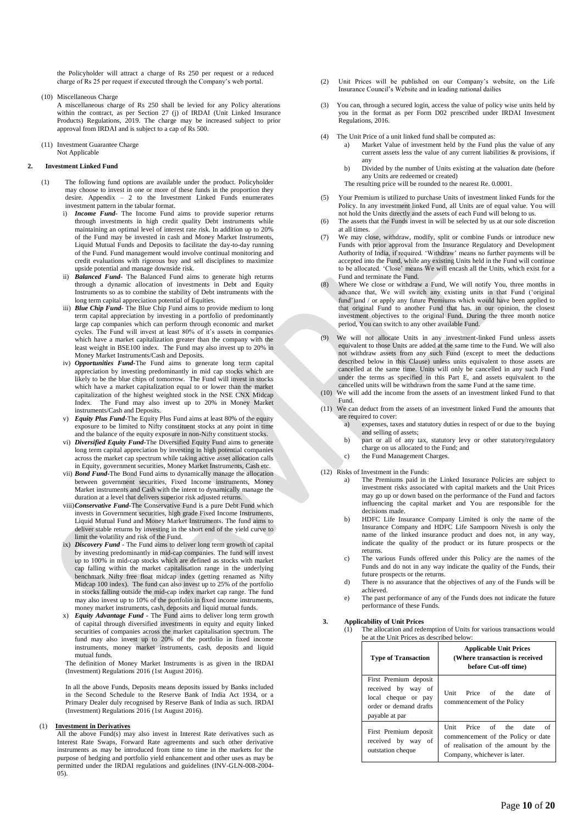the Policyholder will attract a charge of Rs 250 per request or a reduced charge of Rs 25 per request if executed through the Company's web portal.

(10) Miscellaneous Charge

A miscellaneous charge of Rs 250 shall be levied for any Policy alterations within the contract, as per Section 27 (j) of IRDAI (Unit Linked Insurance Products) Regulations, 2019. The charge may be increased subject to prior approval from IRDAI and is subject to a cap of Rs 500.

(11) Investment Guarantee Charge Not Applicable

#### **2. Investment Linked Fund**

- (1) The following fund options are available under the product. Policyholder may choose to invest in one or more of these funds in the proportion they desire. Appendix – 2 to the Investment Linked Funds enumerates investment pattern in the tabular format.
	- i) *Income Fund-* The Income Fund aims to provide superior returns through investments in high credit quality Debt instruments while maintaining an optimal level of interest rate risk. In addition up to 20% of the Fund may be invested in cash and Money Market Instruments, Liquid Mutual Funds and Deposits to facilitate the day-to-day running of the Fund. Fund management would involve continual monitoring and credit evaluations with rigorous buy and sell disciplines to maximize upside potential and manage downside risk.
	- ii) *Balanced Fund***-** The Balanced Fund aims to generate high returns through a dynamic allocation of investments in Debt and Equity Instruments so as to combine the stability of Debt instruments with the long term capital appreciation potential of Equities.
	- iii) **Blue Chip Fund-** The Blue Chip Fund aims to provide medium to long term capital appreciation by investing in a portfolio of predominantly large cap companies which can perform through economic and market cycles. The Fund will invest at least 80% of it's assets in companies which have a market capitalization greater than the company with the least weight in BSE100 index. The Fund may also invest up to 20% in Money Market Instruments/Cash and Deposits.
	- iv) *Opportunities Fund***-**The Fund aims to generate long term capital appreciation by investing predominantly in mid cap stocks which are likely to be the blue chips of tomorrow. The Fund will invest in stocks which have a market capitalization equal to or lower than the market capitalization of the highest weighted stock in the NSE CNX Midcap Index. The Fund may also invest up to 20% in Money Market instruments/Cash and Deposits.
	- v) *Equity Plus Fund***-**The Equity Plus Fund aims at least 80% of the equity exposure to be limited to Nifty constituent stocks at any point in time and the balance of the equity exposure in non-Nifty constituent stocks.
	- vi) *Diversified Equity Fund***-**The Diversified Equity Fund aims to generate long term capital appreciation by investing in high potential companies across the market cap spectrum while taking active asset allocation calls in Equity, government securities, Money Market Instruments, Cash etc.
	- vii) *Bond Fund***-**The Bond Fund aims to dynamically manage the allocation between government securities, Fixed Income instruments, Money Market instruments and Cash with the intent to dynamically manage the duration at a level that delivers superior risk adjusted returns.
	- viii)*Conservative Fund-*The Conservative Fund is a pure Debt Fund which invests in Government securities, high grade Fixed Income Instruments, Liquid Mutual Fund and Money Market Instruments. The fund aims to deliver stable returns by investing in the short end of the yield curve to limit the volatility and risk of the Fund.
	- ix) *Discovery Fund*  The Fund aims to deliver long term growth of capital by investing predominantly in mid-cap companies. The fund will invest up to 100% in mid-cap stocks which are defined as stocks with market cap falling within the market capitalisation range in the underlying benchmark Nifty free float midcap index (getting renamed as Nifty Midcap 100 index). The fund can also invest up to 25% of the portfolio in stocks falling outside the mid-cap index market cap range. The fund may also invest up to 10% of the portfolio in fixed income instruments, money market instruments, cash, deposits and liquid mutual funds.
	- x) *Equity Advantage Fund -* The Fund aims to deliver long term growth of capital through diversified investments in equity and equity linked securities of companies across the market capitalisation spectrum. The fund may also invest up to 20% of the portfolio in fixed income instruments, money market instruments, cash, deposits and liquid mutual funds.

The definition of Money Market Instruments is as given in the IRDAI (Investment) Regulations 2016 (1st August 2016).

In all the above Funds, Deposits means deposits issued by Banks included in the Second Schedule to the Reserve Bank of India Act 1934, or a Primary Dealer duly recognised by Reserve Bank of India as such. IRDAI (Investment) Regulations 2016 (1st August 2016).

### (1) **Investment in Derivatives**

All the above Fund(s) may also invest in Interest Rate derivatives such as Interest Rate Swaps, Forward Rate agreements and such other derivative instruments as may be introduced from time to time in the markets for the purpose of hedging and portfolio yield enhancement and other uses as may be permitted under the IRDAI regulations and guidelines (INV-GLN-008-2004-  $(05)$ .

- (2) Unit Prices will be published on our Company's website, on the Life Insurance Council's Website and in leading national dailies
- (3) You can, through a secured login, access the value of policy wise units held by you in the format as per Form D02 prescribed under IRDAI Investment Regulations, 2016.
- (4) The Unit Price of a unit linked fund shall be computed as:
	- a) Market Value of investment held by the Fund plus the value of any current assets less the value of any current liabilities & provisions, if any
	- b) Divided by the number of Units existing at the valuation date (before any Units are redeemed or created)
	- The resulting price will be rounded to the nearest Re. 0.0001.
- (5) Your Premium is utilized to purchase Units of investment linked Funds for the Policy. In any investment linked Fund, all Units are of equal value. You will not hold the Units directly and the assets of each Fund will belong to us.
- (6) The assets that the Funds invest in will be selected by us at our sole discretion at all times.
- (7) We may close, withdraw, modify, split or combine Funds or introduce new Funds with prior approval from the Insurance Regulatory and Development Authority of India, if required. 'Withdraw' means no further payments will be accepted into the Fund, while any existing Units held in the Fund will continue to be allocated. 'Close' means We will encash all the Units, which exist for a Fund and terminate the Fund.
- (8) Where We close or withdraw a Fund, We will notify You, three months in advance that, We will switch any existing units in that Fund ('original fund')and / or apply any future Premiums which would have been applied to that original Fund to another Fund that has, in our opinion, the closest investment objectives to the original Fund. During the three month notice period, You can switch to any other available Fund.
- (9) We will not allocate Units in any investment-linked Fund unless assets equivalent to those Units are added at the same time to the Fund. We will also not withdraw assets from any such Fund (except to meet the deductions described below in this Clause) unless units equivalent to those assets are cancelled at the same time. Units will only be cancelled in any such Fund under the terms as specified in this Part E, and assets equivalent to the cancelled units will be withdrawn from the same Fund at the same time.
- (10) We will add the income from the assets of an investment linked Fund to that Fund.
- (11) We can deduct from the assets of an investment linked Fund the amounts that are required to cover:
	- a) expenses, taxes and statutory duties in respect of or due to the buying and selling of assets;
	- b) part or all of any tax, statutory levy or other statutory/regulatory charge on us allocated to the Fund; and
	- c) the Fund Management Charges.
- (12) Risks of Investment in the Funds:
	- a) The Premiums paid in the Linked Insurance Policies are subject to investment risks associated with capital markets and the Unit Prices may go up or down based on the performance of the Fund and factors influencing the capital market and You are responsible for the decisions made
	- b) HDFC Life Insurance Company Limited is only the name of the Insurance Company and HDFC Life Sampoorn Nivesh is only the name of the linked insurance product and does not, in any way, indicate the quality of the product or its future prospects or the returns.
	- c) The various Funds offered under this Policy are the names of the Funds and do not in any way indicate the quality of the Funds, their future prospects or the returns.
	- d) There is no assurance that the objectives of any of the Funds will be achieved.
	- e) The past performance of any of the Funds does not indicate the future performance of these Funds.

#### **3. Applicability of Unit Prices**

The allocation and redemption of Units for various transactions would be at the Unit Prices as described below:

| <b>Type of Transaction</b>                                                                                     | <b>Applicable Unit Prices</b><br>(Where transaction is received<br>before Cut-off time)                                                      |
|----------------------------------------------------------------------------------------------------------------|----------------------------------------------------------------------------------------------------------------------------------------------|
| First Premium deposit<br>received by way of<br>local cheque or pay<br>order or demand drafts<br>payable at par | Unit<br>Price of the date<br>of<br>commencement of the Policy                                                                                |
| First Premium deposit<br>received by way<br>- of<br>outstation cheque                                          | Unit Price of the<br>date<br>Ωf<br>commencement of the Policy or date<br>of realisation of the amount by the<br>Company, whichever is later. |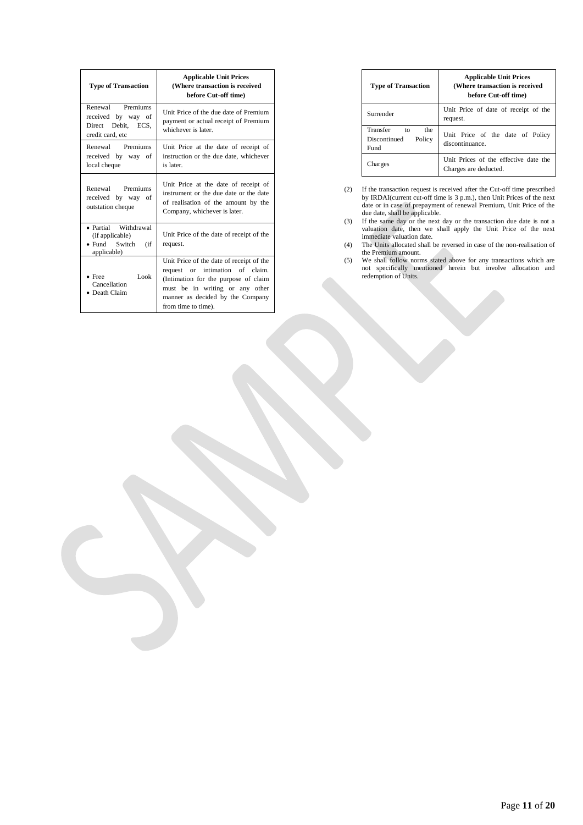| <b>Type of Transaction</b>                                                             | <b>Applicable Unit Prices</b><br>(Where transaction is received<br>before Cut-off time)                                                                                                                           |
|----------------------------------------------------------------------------------------|-------------------------------------------------------------------------------------------------------------------------------------------------------------------------------------------------------------------|
| Renewal Premiums<br>received by way of<br>Direct Debit, ECS,<br>credit card, etc       | Unit Price of the due date of Premium<br>payment or actual receipt of Premium<br>whichever is later.                                                                                                              |
| Renewal Premiums<br>received by way of<br>local cheque                                 | Unit Price at the date of receipt of<br>instruction or the due date, whichever<br>is later.                                                                                                                       |
| Renewal Premiums<br>received by way of<br>outstation cheque                            | Unit Price at the date of receipt of<br>instrument or the due date or the date<br>of realisation of the amount by the<br>Company, whichever is later.                                                             |
| • Partial Withdrawal<br>(if applicable)<br>$\bullet$ Fund Switch<br>(if<br>applicable) | Unit Price of the date of receipt of the<br>request.                                                                                                                                                              |
| Look<br>$•$ Free<br>Cancellation<br>• Death Claim                                      | Unit Price of the date of receipt of the<br>request or intimation of claim.<br>(Intimation for the purpose of claim<br>must be in writing or any other<br>manner as decided by the Company<br>from time to time). |

| <b>Type of Transaction</b>                              | <b>Applicable Unit Prices</b><br>(Where transaction is received<br>before Cut-off time) |  |
|---------------------------------------------------------|-----------------------------------------------------------------------------------------|--|
| Surrender                                               | Unit Price of date of receipt of the<br>request.                                        |  |
| Transfer<br>the<br>to<br>Discontinued<br>Policy<br>Fund | Unit Price of the date of Policy<br>discontinuance.                                     |  |
| Charges                                                 | Unit Prices of the effective date the<br>Charges are deducted.                          |  |

(2) If the transaction request is received after the Cut-off time prescribed by IRDAI(current cut-off time is 3 p.m.), then Unit Prices of the next date or in case of prepayment of renewal Premium, Unit Price of the due date, shall be applicable.

(3) If the same day or the next day or the transaction due date is not a valuation date, then we shall apply the Unit Price of the next immediate valuation date.

(4) The Units allocated shall be reversed in case of the non-realisation of the Premium amount.

(5) We shall follow norms stated above for any transactions which are not specifically mentioned herein but involve allocation and redemption of Units.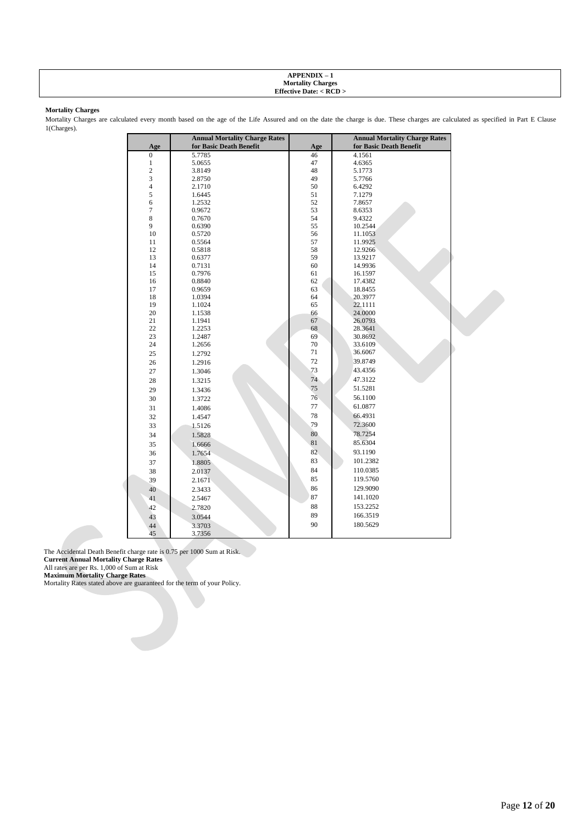#### **APPENDIX – 1 Mortality Charges Effective Date: < RCD >**

### **Mortality Charges**

Mortality Charges are calculated every month based on the age of the Life Assured and on the date the charge is due. These charges are calculated as specified in Part E Clause 1(Charges).

|                | <b>Annual Mortality Charge Rates</b> |          | <b>Annual Mortality Charge Rates</b> |
|----------------|--------------------------------------|----------|--------------------------------------|
| Age            | for Basic Death Benefit              | Age      | for Basic Death Benefit              |
| $\mathbf{0}$   | 5.7785                               | 46       | 4.1561                               |
| $\mathbf{1}$   | 5.0655                               | 47       | 4.6365                               |
| $\overline{c}$ | 3.8149                               | 48       | 5.1773                               |
| 3              | 2.8750                               | 49       | 5.7766                               |
| $\sqrt{4}$     | 2.1710                               | 50       | 6.4292                               |
| 5              | 1.6445                               | 51       | 7.1279                               |
| 6              | 1.2532                               | 52       | 7.8657                               |
| $\overline{7}$ | 0.9672                               | 53       | 8.6353                               |
| 8              | 0.7670                               | 54       | 9.4322                               |
| 9              | 0.6390                               | 55       | 10.2544                              |
| 10             | 0.5720                               | 56       | 11.1053                              |
| 11             | 0.5564                               | 57       | 11.9925                              |
| 12             | 0.5818                               | 58       | 12.9266                              |
| 13             | 0.6377                               | 59       | 13.9217                              |
| 14             | 0.7131                               | 60       | 14.9936                              |
| 15<br>16       | 0.7976<br>0.8840                     | 61<br>62 | 16.1597<br>17.4382                   |
| 17             | 0.9659                               | 63       | 18.8455                              |
| 18             | 1.0394                               | 64       | 20.3977                              |
| 19             | 1.1024                               | 65       | 22.1111                              |
| 20             | 1.1538                               | 66       | 24.0000                              |
| 21             | 1.1941                               | 67       | 26.0793                              |
| 22             | 1.2253                               | 68       | 28.3641                              |
| 23             | 1.2487                               | 69       | 30.8692                              |
| 24             | 1.2656                               | 70       | 33.6109                              |
| 25             | 1.2792                               | 71       | 36.6067                              |
| 26             | 1.2916                               | 72       | 39.8749                              |
| 27             | 1.3046                               | 73       | 43.4356                              |
|                |                                      | 74       | 47.3122                              |
| $28\,$         | 1.3215                               |          |                                      |
| 29             | 1.3436                               | 75       | 51.5281                              |
| 30             | 1.3722                               | 76       | 56.1100                              |
| 31             | 1.4086                               | 77       | 61.0877                              |
| 32             | 1.4547                               | 78       | 66.4931                              |
| 33             | 1.5126                               | 79       | 72.3600                              |
| 34             | 1.5828                               | 80       | 78.7254                              |
| 35             | 1.6666                               | 81       | 85.6304                              |
| 36             | 1.7654                               | 82       | 93.1190                              |
| 37             | 1.8805                               | 83       | 101.2382                             |
| 38             | 2.0137                               | 84       | 110.0385                             |
|                |                                      | 85       | 119.5760                             |
| 39             | 2.1671                               |          |                                      |
| 40             | 2.3433                               | 86       | 129.9090                             |
| 41             | 2.5467                               | 87       | 141.1020                             |
| 42             | 2.7820                               | 88       | 153.2252                             |
| 43             | 3.0544                               | 89       | 166.3519                             |
| 44             | 3.3703                               | 90       | 180.5629                             |
| 45             | 3.7356                               |          |                                      |

The Accidental Death Benefit charge rate is 0.75 per 1000 Sum at Risk.

**Current Annual Mortality Charge Rates**

All rates are per Rs. 1,000 of Sum at Risk

**Maximum Mortality Charge Rates**

Mortality Rates stated above are guaranteed for the term of your Policy.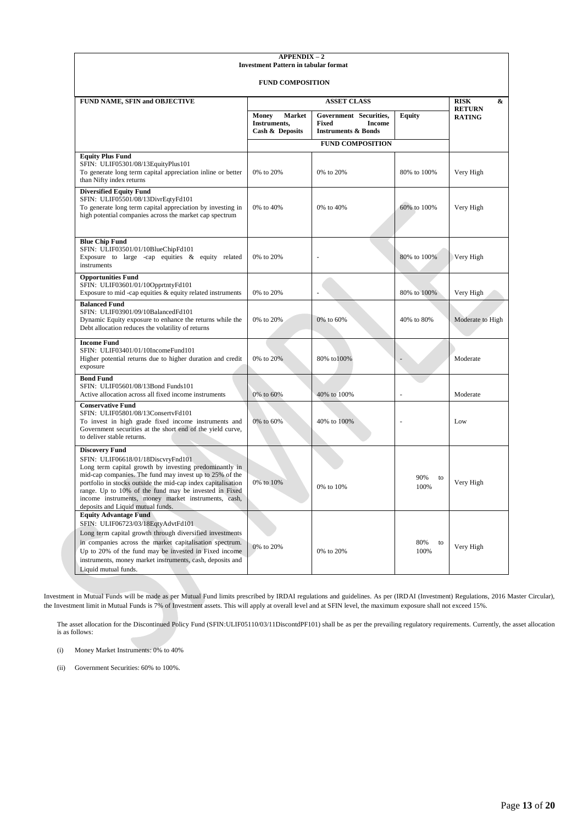| <b>APPENDIX-2</b><br><b>Investment Pattern in tabular format</b>                                                                                                                                                                                                                                                                                                                                      |                                                    |                                                                                           |                   |                                |
|-------------------------------------------------------------------------------------------------------------------------------------------------------------------------------------------------------------------------------------------------------------------------------------------------------------------------------------------------------------------------------------------------------|----------------------------------------------------|-------------------------------------------------------------------------------------------|-------------------|--------------------------------|
| <b>FUND COMPOSITION</b>                                                                                                                                                                                                                                                                                                                                                                               |                                                    |                                                                                           |                   |                                |
| FUND NAME, SFIN and OBJECTIVE                                                                                                                                                                                                                                                                                                                                                                         | <b>ASSET CLASS</b>                                 |                                                                                           |                   | <b>RISK</b><br>&               |
|                                                                                                                                                                                                                                                                                                                                                                                                       | Market<br>Money<br>Instruments,<br>Cash & Deposits | Government Securities,<br><b>Fixed</b><br><b>Income</b><br><b>Instruments &amp; Bonds</b> | <b>Equity</b>     | <b>RETURN</b><br><b>RATING</b> |
|                                                                                                                                                                                                                                                                                                                                                                                                       |                                                    | <b>FUND COMPOSITION</b>                                                                   |                   |                                |
| <b>Equity Plus Fund</b><br>SFIN: ULIF05301/08/13EquityPlus101<br>To generate long term capital appreciation inline or better<br>than Nifty index returns                                                                                                                                                                                                                                              | 0% to 20%                                          | 0% to 20%                                                                                 | 80% to 100%       | Very High                      |
| <b>Diversified Equity Fund</b><br>SFIN: ULIF05501/08/13DivrEqtyFd101<br>To generate long term capital appreciation by investing in<br>high potential companies across the market cap spectrum                                                                                                                                                                                                         | 0% to 40%                                          | 0% to 40%                                                                                 | 60% to 100%       | Very High                      |
| <b>Blue Chip Fund</b><br>SFIN: ULIF03501/01/10BlueChipFd101<br>Exposure to large -cap equities $\&$ equity related<br>instruments                                                                                                                                                                                                                                                                     | 0% to 20%                                          |                                                                                           | 80% to 100%       | Very High                      |
| <b>Opportunities Fund</b><br>SFIN: ULIF03601/01/10OpprtntyFd101<br>Exposure to mid-cap equities $&$ equity related instruments                                                                                                                                                                                                                                                                        | 0% to 20%                                          |                                                                                           | 80% to 100%       | Very High                      |
| <b>Balanced Fund</b><br>SFIN: ULIF03901/09/10BalancedFd101<br>Dynamic Equity exposure to enhance the returns while the<br>Debt allocation reduces the volatility of returns                                                                                                                                                                                                                           | 0% to 20%                                          | 0% to 60%                                                                                 | 40% to 80%        | Moderate to High               |
| <b>Income Fund</b><br>SFIN: ULIF03401/01/10IncomeFund101<br>Higher potential returns due to higher duration and credit<br>exposure                                                                                                                                                                                                                                                                    | 0% to 20%                                          | 80% to 100%                                                                               |                   | Moderate                       |
| <b>Bond Fund</b><br>SFIN: ULIF05601/08/13Bond Funds101<br>Active allocation across all fixed income instruments                                                                                                                                                                                                                                                                                       | 0% to 60%                                          | 40% to 100%                                                                               |                   | Moderate                       |
| <b>Conservative Fund</b><br>SFIN: ULIF05801/08/13ConsertvFd101<br>To invest in high grade fixed income instruments and<br>Government securities at the short end of the yield curve,<br>to deliver stable returns.                                                                                                                                                                                    | 0% to 60%                                          | 40% to 100%                                                                               |                   | Low                            |
| <b>Discovery Fund</b><br>SFIN: ULIF06618/01/18DiscvryFnd101<br>Long term capital growth by investing predominantly in<br>mid-cap companies. The fund may invest up to 25% of the<br>portfolio in stocks outside the mid-cap index capitalisation<br>range. Up to 10% of the fund may be invested in Fixed<br>income instruments, money market instruments, cash,<br>deposits and Liquid mutual funds. | 0% to 10%                                          | 0% to 10%                                                                                 | 90%<br>to<br>100% | Very High                      |
| <b>Equity Advantage Fund</b><br>SFIN: ULIF06723/03/18EqtyAdvtFd101<br>Long term capital growth through diversified investments<br>in companies across the market capitalisation spectrum.<br>Up to 20% of the fund may be invested in Fixed income<br>instruments, money market instruments, cash, deposits and<br>Liquid mutual funds.                                                               | 0% to 20%                                          | 0% to 20%                                                                                 | 80%<br>to<br>100% | Very High                      |

Investment in Mutual Funds will be made as per Mutual Fund limits prescribed by IRDAI regulations and guidelines. As per (IRDAI (Investment) Regulations, 2016 Master Circular), the Investment limit in Mutual Funds is 7% of Investment assets. This will apply at overall level and at SFIN level, the maximum exposure shall not exceed 15%.

The asset allocation for the Discontinued Policy Fund (SFIN:ULIF05110/03/11DiscontdPF101) shall be as per the prevailing regulatory requirements. Currently, the asset allocation is as follows:

(i) Money Market Instruments: 0% to 40%

(ii) Government Securities: 60% to 100%.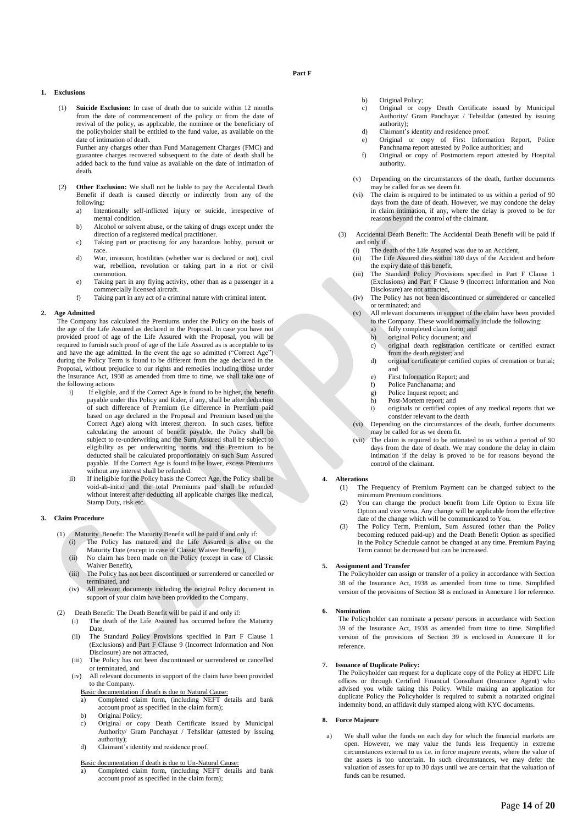### **Part F**

### **1. Exclusions**

(1) **Suicide Exclusion:** In case of death due to suicide within 12 months from the date of commencement of the policy or from the date of revival of the policy, as applicable, the nominee or the beneficiary of the policyholder shall be entitled to the fund value, as available on the date of intimation of death. Further any charges other than Fund Management Charges (FMC) and

guarantee charges recovered subsequent to the date of death shall be added back to the fund value as available on the date of intimation of death.

- (2) **Other Exclusion:** We shall not be liable to pay the Accidental Death Benefit if death is caused directly or indirectly from any of the following:
	- a) Intentionally self-inflicted injury or suicide, irrespective of mental condition.
	- b) Alcohol or solvent abuse, or the taking of drugs except under the direction of a registered medical practitioner.
	- c) Taking part or practising for any hazardous hobby, pursuit or race.
	- d) War, invasion, hostilities (whether war is declared or not), civil war, rebellion, revolution or taking part in a riot or civil commotion.
	- e) Taking part in any flying activity, other than as a passenger in a commercially licensed aircraft.
	- f) Taking part in any act of a criminal nature with criminal intent.

#### **2. Age Admitted**

The Company has calculated the Premiums under the Policy on the basis of the age of the Life Assured as declared in the Proposal. In case you have not provided proof of age of the Life Assured with the Proposal, you will be required to furnish such proof of age of the Life Assured as is acceptable to us and have the age admitted. In the event the age so admitted ("Correct Age") during the Policy Term is found to be different from the age declared in the Proposal, without prejudice to our rights and remedies including those under the Insurance Act, 1938 as amended from time to time, we shall take one of the following actions

- i) If eligible, and if the Correct Age is found to be higher, the benefit payable under this Policy and Rider, if any, shall be after deduction of such difference of Premium (i.e difference in Premium paid based on age declared in the Proposal and Premium based on the Correct Age) along with interest thereon. In such cases, before calculating the amount of benefit payable, the Policy shall be subject to re-underwriting and the Sum Assured shall be subject to eligibility as per underwriting norms and the Premium to be deducted shall be calculated proportionately on such Sum Assured payable. If the Correct Age is found to be lower, excess Premiums without any interest shall be refunded.
- ii) If ineligible for the Policy basis the Correct Age, the Policy shall be void-ab-initio and the total Premiums paid shall be refunded without interest after deducting all applicable charges like medical, Stamp Duty, risk etc.

### **3. Claim Procedure**

- (1) Maturity Benefit: The Maturity Benefit will be paid if and only if: The Policy has matured and the Life Assured is alive on the
	- Maturity Date (except in case of Classic Waiver Benefit ), (ii) No claim has been made on the Policy (except in case of Classic Waiver Benefit),
	- (iii) The Policy has not been discontinued or surrendered or cancelled or terminated, and
	- (iv) All relevant documents including the original Policy document in support of your claim have been provided to the Company.
- (2) Death Benefit: The Death Benefit will be paid if and only if:
	- (i) The death of the Life Assured has occurred before the Maturity Date,
	- (ii) The Standard Policy Provisions specified in Part F Clause 1 (Exclusions) and Part F Clause 9 (Incorrect Information and Non Disclosure) are not attracted,
	- (iii) The Policy has not been discontinued or surrendered or cancelled or terminated, and
	- (iv) All relevant documents in support of the claim have been provided to the Company.
		- Basic documentation if death is due to Natural Cause:
		- a) Completed claim form, (including NEFT details and bank account proof as specified in the claim form);
		- b) Original Policy;
		- c) Original or copy Death Certificate issued by Municipal Authority/ Gram Panchayat / Tehsildar (attested by issuing authority);
		- d) Claimant's identity and residence proof.
		- Basic documentation if death is due to Un-Natural Cause:
		- a) Completed claim form, (including NEFT details and bank account proof as specified in the claim form);
- b) Original Policy;
- c) Original or copy Death Certificate issued by Municipal Authority/ Gram Panchayat / Tehsildar (attested by issuing authority);
- d) Claimant's identity and residence proof.
- e) Original or copy of First Information Report, Police Panchnama report attested by Police authorities; and
- f) Original or copy of Postmortem report attested by Hospital authority.
- (v) Depending on the circumstances of the death, further documents may be called for as we deem fit.
- (vi) The claim is required to be intimated to us within a period of 90 days from the date of death. However, we may condone the delay in claim intimation, if any, where the delay is proved to be for reasons beyond the control of the claimant.
- (3) Accidental Death Benefit: The Accidental Death Benefit will be paid if and only if
	- (i) The death of the Life Assured was due to an Accident,
	- (ii) The Life Assured dies within 180 days of the Accident and before the expiry date of this benefit,
	- (iii) The Standard Policy Provisions specified in Part F Clause 1 (Exclusions) and Part F Clause 9 (Incorrect Information and Non Disclosure) are not attracted,
	- (iv) The Policy has not been discontinued or surrendered or cancelled or terminated; and
	- (v) All relevant documents in support of the claim have been provided to the Company. These would normally include the following:
		- fully completed claim form; and
		- b) original Policy document; and
		- c) original death registration certificate or certified extract from the death register; and
		- d) original certificate or certified copies of cremation or burial; and
		- e) First Information Report; and
		- f) Police Panchanama; and
		- g) Police Inquest report; and<br>h) Post-Mortem report: and Post-Mortem report; and
		- i) originals or certified copies of any medical reports that we consider relevant to the death
	- (vi) Depending on the circumstances of the death, further documents may be called for as we deem fit.
	- (vii) The claim is required to be intimated to us within a period of 90 days from the date of death. We may condone the delay in claim intimation if the delay is proved to be for reasons beyond the control of the claimant.

### **4. Alterations**

- (1) The Frequency of Premium Payment can be changed subject to the minimum Premium conditions.
- You can change the product benefit from Life Option to Extra life Option and vice versa. Any change will be applicable from the effective date of the change which will be communicated to You.
- (3) The Policy Term, Premium, Sum Assured (other than the Policy becoming reduced paid-up) and the Death Benefit Option as specified in the Policy Schedule cannot be changed at any time. Premium Paying Term cannot be decreased but can be increased.

#### **5. Assignment and Transfer**

The Policyholder can assign or transfer of a policy in accordance with Section 38 of the Insurance Act, 1938 as amended from time to time. Simplified version of the provisions of Section 38 is enclosed in Annexure I for reference.

### **6. Nomination**

The Policyholder can nominate a person/ persons in accordance with Section 39 of the Insurance Act, 1938 as amended from time to time. Simplified version of the provisions of Section 39 is enclosed in Annexure II for reference.

#### **7. Issuance of Duplicate Policy:**

The Policyholder can request for a duplicate copy of the Policy at HDFC Life offices or through Certified Financial Consultant (Insurance Agent) who advised you while taking this Policy. While making an application for duplicate Policy the Policyholder is required to submit a notarized original indemnity bond, an affidavit duly stamped along with KYC documents.

#### **8. Force Majeure**

a) We shall value the funds on each day for which the financial markets are open. However, we may value the funds less frequently in extreme circumstances external to us i.e. in force majeure events, where the value of the assets is too uncertain. In such circumstances, we may defer the valuation of assets for up to 30 days until we are certain that the valuation of funds can be resumed.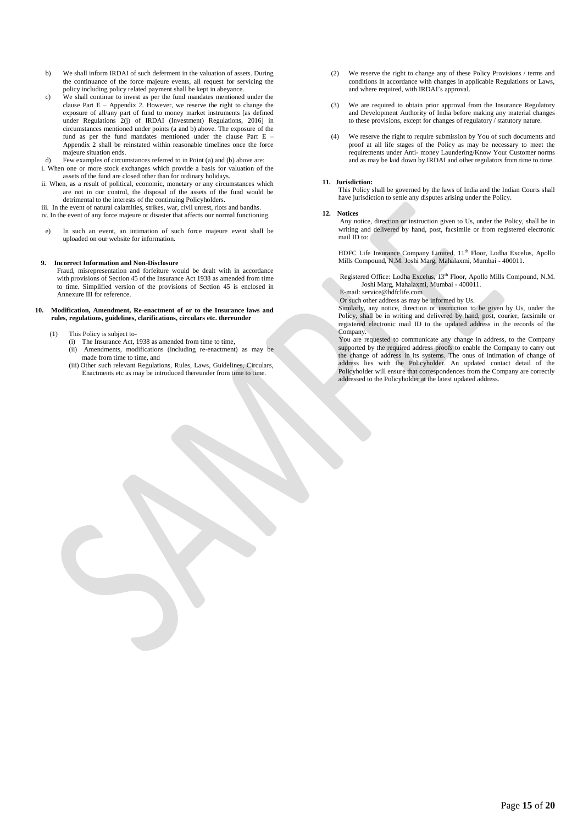- b) We shall inform IRDAI of such deferment in the valuation of assets. During the continuance of the force majeure events, all request for servicing the policy including policy related payment shall be kept in abeyance.
- c) We shall continue to invest as per the fund mandates mentioned under the clause Part  $E -$  Appendix 2. However, we reserve the right to change the exposure of all/any part of fund to money market instruments [as defined under Regulations 2(j) of IRDAI (Investment) Regulations, 2016] in circumstances mentioned under points (a and b) above. The exposure of the fund as per the fund mandates mentioned under the clause Part E – Appendix 2 shall be reinstated within reasonable timelines once the force majeure situation ends.

Few examples of circumstances referred to in Point  $(a)$  and  $(b)$  above are: i. When one or more stock exchanges which provide a basis for valuation of the assets of the fund are closed other than for ordinary holidays.

ii. When, as a result of political, economic, monetary or any circumstances which are not in our control, the disposal of the assets of the fund would be detrimental to the interests of the continuing Policyholders.

iii. In the event of natural calamities, strikes, war, civil unrest, riots and bandhs. iv. In the event of any force majeure or disaster that affects our normal functioning.

e) In such an event, an intimation of such force majeure event shall be uploaded on our website for information.

### **9. Incorrect Information and Non-Disclosure**

Fraud, misrepresentation and forfeiture would be dealt with in accordance with provisions of Section 45 of the Insurance Act 1938 as amended from time to time. Simplified version of the provisions of Section 45 is enclosed in Annexure III for reference.

#### **10. Modification, Amendment, Re-enactment of or to the Insurance laws and rules, regulations, guidelines, clarifications, circulars etc. thereunder**

- (1) This Policy is subject to-
	- (i) The Insurance Act, 1938 as amended from time to time,
	- (ii) Amendments, modifications (including re-enactment) as may be made from time to time, and
	- (iii) Other such relevant Regulations, Rules, Laws, Guidelines, Circulars, Enactments etc as may be introduced thereunder from time to time.
- (2) We reserve the right to change any of these Policy Provisions / terms and conditions in accordance with changes in applicable Regulations or Laws, and where required, with IRDAI's approval.
- (3) We are required to obtain prior approval from the Insurance Regulatory and Development Authority of India before making any material changes to these provisions, except for changes of regulatory / statutory nature.
- (4) We reserve the right to require submission by You of such documents and proof at all life stages of the Policy as may be necessary to meet the requirements under Anti- money Laundering/Know Your Customer norms and as may be laid down by IRDAI and other regulators from time to time.

#### **11. Jurisdiction:**

This Policy shall be governed by the laws of India and the Indian Courts shall have jurisdiction to settle any disputes arising under the Policy.

### **12. Notices**

Any notice, direction or instruction given to Us, under the Policy, shall be in writing and delivered by hand, post, facsimile or from registered electronic mail ID to:

HDFC Life Insurance Company Limited, 11<sup>th</sup> Floor, Lodha Excelus, Apollo Mills Compound, N.M. Joshi Marg, Mahalaxmi, Mumbai - 400011.

Registered Office: Lodha Excelus, 13th Floor, Apollo Mills Compound, N.M. Joshi Marg, Mahalaxmi, Mumbai - 400011.

E-mail: service@hdfclife.com

Or such other address as may be informed by Us.

Similarly, any notice, direction or instruction to be given by Us, under the Policy, shall be in writing and delivered by hand, post, courier, facsimile or registered electronic mail ID to the updated address in the records of the Company.

You are requested to communicate any change in address, to the Company supported by the required address proofs to enable the Company to carry out the change of address in its systems. The onus of intimation of change of address lies with the Policyholder. An updated contact detail of the Policyholder will ensure that correspondences from the Company are correctly addressed to the Policyholder at the latest updated address.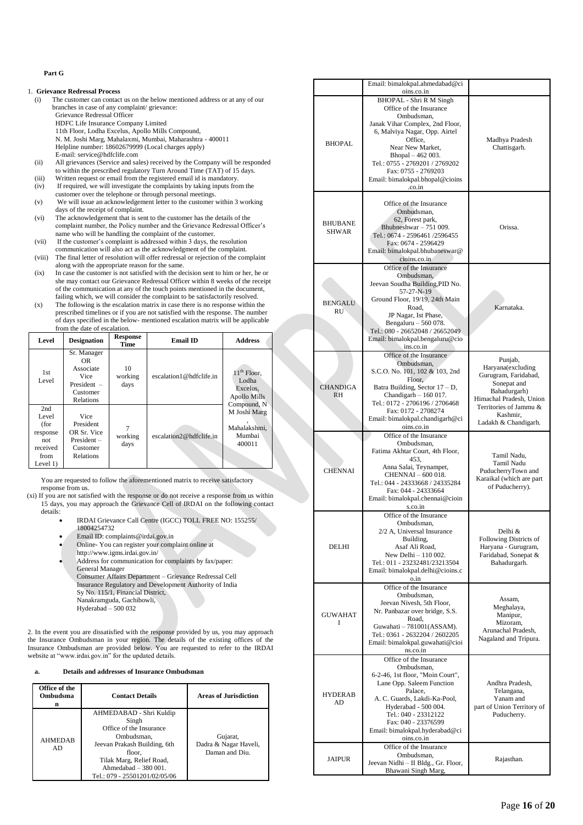### **Part G**

### 1. **Grievance Redressal Process**

- (i) The customer can contact us on the below mentioned address or at any of our branches in case of any complaint/ grievance: Grievance Redressal Officer HDFC Life Insurance Company Limited 11th Floor, Lodha Excelus, Apollo Mills Compound, N. M. Joshi Marg, Mahalaxmi, Mumbai, Maharashtra - 400011 Helpline number: 18602679999 (Local charges apply)
	- E-mail[: service@hdfclife.com](mailto:service@hdfclife.com)
- (ii) All grievances (Service and sales) received by the Company will be responded to within the prescribed regulatory Turn Around Time (TAT) of 15 days.
- (iii) Written request or email from the registered email id is mandatory. (iv) If required, we will investigate the complaints by taking inputs from the
- customer over the telephone or through personal meetings. (v) We will issue an acknowledgement letter to the customer within 3 working
- days of the receipt of complaint. (vi) The acknowledgement that is sent to the customer has the details of the
- complaint number, the Policy number and the Grievance Redressal Officer's name who will be handling the complaint of the customer.
- (vii) If the customer's complaint is addressed within 3 days, the resolution communication will also act as the acknowledgment of the complaint. (viii) The final letter of resolution will offer redressal or rejection of the complaint
- along with the appropriate reason for the same. (ix) In case the customer is not satisfied with the decision sent to him or her, he or
- she may contact our Grievance Redressal Officer within 8 weeks of the receipt of the communication at any of the touch points mentioned in the document, failing which, we will consider the complaint to be satisfactorily resolved.
- (x) The following is the escalation matrix in case there is no response within the prescribed timelines or if you are not satisfied with the response. The number of days specified in the below- mentioned escalation matrix will be applicable from the date of escalation.

| Level                                                                     | <b>Designation</b>                                                                | <b>Response</b><br>Time | <b>Email ID</b>         | <b>Address</b>                                                    |
|---------------------------------------------------------------------------|-----------------------------------------------------------------------------------|-------------------------|-------------------------|-------------------------------------------------------------------|
| 1st.<br>Level                                                             | Sr. Manager<br>OR.<br>Associate<br>Vice<br>President $-$<br>Customer<br>Relations | 10<br>working<br>days   | escalation1@hdfclife.in | $11th$ Floor,<br>Lodha<br>Excelus.<br>Apollo Mills<br>Compound, N |
| 2nd<br>Level<br>(for<br>response<br>not<br>received<br>from<br>Level $1)$ | Vice<br>President<br>OR Sr. Vice<br>$President -$<br>Customer<br><b>Relations</b> | working<br>days         | escalation2@hdfclife.in | M Joshi Marg<br>Mahalakshmi.<br>Mumbai<br>400011                  |

You are requested to follow the aforementioned matrix to receive satisfactory response from us.

- (xi) If you are not satisfied with the response or do not receive a response from us within 15 days, you may approach the Grievance Cell of IRDAI on the following contact details:
	- IRDAI Grievance Call Centre (IGCC) TOLL FREE NO: 155255/ 18004254732
	- Email ID: complaints@irdai.gov.in
	- Online- You can register your complaint online at
	- http://www.igms.irdai.gov.in/
	- Address for communication for complaints by fax/paper: General Manager Consumer Affairs Department – Grievance Redressal Cell Insurance Regulatory and Development Authority of India Sy No. 115/1, Financial District, Nanakramguda, Gachibowli, Hyderabad – 500 032

2. In the event you are dissatisfied with the response provided by us, you may approach the Insurance Ombudsman in your region. The details of the existing offices of the Insurance Ombudsman are provided below. You are requested to refer to the IRDAI website at "www.irdai.gov.in" for the updated details.

## **a. Details and addresses of Insurance Ombudsman**

| Office of the<br>Ombudsma<br>n | <b>Contact Details</b>                                                                                                                                                                                    | <b>Areas of Jurisdiction</b>                        |
|--------------------------------|-----------------------------------------------------------------------------------------------------------------------------------------------------------------------------------------------------------|-----------------------------------------------------|
| <b>AHMEDAB</b><br>AD.          | AHMEDABAD - Shri Kuldip<br>Singh<br>Office of the Insurance<br>Ombudsman,<br>Jeevan Prakash Building, 6th<br>floor,<br>Tilak Marg, Relief Road,<br>Ahmedabad $-380001$ .<br>Tel.: 079 - 25501201/02/05/06 | Gujarat,<br>Dadra & Nagar Haveli,<br>Daman and Diu. |

|  |                                | Email: bimalokpal.ahmedabad@ci<br>oins.co.in                                                                                                                                                                                                                                                   |                                                                                                                                                                              |
|--|--------------------------------|------------------------------------------------------------------------------------------------------------------------------------------------------------------------------------------------------------------------------------------------------------------------------------------------|------------------------------------------------------------------------------------------------------------------------------------------------------------------------------|
|  | <b>BHOPAL</b>                  | BHOPAL - Shri R M Singh<br>Office of the Insurance<br>Ombudsman.<br>Janak Vihar Complex, 2nd Floor,<br>6, Malviya Nagar, Opp. Airtel<br>Office.<br>Near New Market,<br>Bhopal - 462 003.<br>Tel.: 0755 - 2769201 / 2769202<br>Fax: 0755 - 2769203<br>Email: bimalokpal.bhopal@cioins<br>.co.in | Madhya Pradesh<br>Chattisgarh.                                                                                                                                               |
|  | <b>BHUBANE</b><br><b>SHWAR</b> | Office of the Insurance<br>Ombudsman,<br>62, Forest park,<br>Bhubneshwar $-751009$ .<br>Tel.: 0674 - 2596461/2596455<br>Fax: 0674 - 2596429<br>Email: bimalokpal.bhubaneswar@<br>cioins.co.in                                                                                                  | Orissa.                                                                                                                                                                      |
|  | <b>BENGALU</b><br><b>RU</b>    | Office of the Insurance<br>Ombudsman,<br>Jeevan Soudha Building, PID No.<br>57-27-N-19<br>Ground Floor, 19/19, 24th Main<br>Road,<br>JP Nagar, Ist Phase,<br>Bengaluru - 560 078.<br>Tel.: 080 - 26652048 / 26652049<br>Email: bimalokpal.bengaluru@cio<br>ins.co.in                           | Karnataka.                                                                                                                                                                   |
|  | <b>CHANDIGA</b><br><b>RH</b>   | Office of the Insurance<br>Ombudsman,<br>S.C.O. No. 101, 102 & 103, 2nd<br>Floor,<br>Batra Building, Sector 17 - D,<br>Chandigarh $-160017$ .<br>Tel.: 0172 - 2706196 / 2706468<br>Fax: 0172 - 2708274<br>Email: bimalokpal.chandigarh@ci<br>oins.co.in                                        | Punjab,<br>Haryana(excluding<br>Gurugram, Faridabad,<br>Sonepat and<br>Bahadurgarh)<br>Himachal Pradesh, Union<br>Territories of Jammu &<br>Kashmir,<br>Ladakh & Chandigarh. |
|  | <b>CHENNAI</b>                 | Office of the Insurance<br>Ombudsman,<br>Fatima Akhtar Court, 4th Floor,<br>453,<br>Anna Salai, Teynampet,<br>CHENNAI - 600 018.<br>Tel.: 044 - 24333668 / 24335284<br>Fax: 044 - 24333664<br>Email: bimalokpal.chennai@cioin<br>s.co.in                                                       | Tamil Nadu,<br>Tamil Nadu<br>PuducherryTown and<br>Karaikal (which are part<br>of Puducherry).                                                                               |
|  | DELHI                          | Office of the Insurance<br>Ombudsman,<br>2/2 A, Universal Insurance<br>Building,<br>Asaf Ali Road,<br>New Delhi - 110 002.<br>Tel.: 011 - 23232481/23213504<br>Email: bimalokpal.delhi@cioins.c<br>o.in                                                                                        | Delhi &<br>Following Districts of<br>Haryana - Gurugram,<br>Faridabad, Sonepat &<br>Bahadurgarh.                                                                             |
|  |                                |                                                                                                                                                                                                                                                                                                |                                                                                                                                                                              |
|  | <b>GUWAHAT</b><br>I            | Office of the Insurance<br>Ombudsman.<br>Jeevan Nivesh, 5th Floor,<br>Nr. Panbazar over bridge, S.S.<br>Road,<br>Guwahati - 781001(ASSAM).<br>Tel.: 0361 - 2632204 / 2602205<br>Email: bimalokpal.guwahati@cioi<br>ns.co.in                                                                    | Assam,<br>Meghalaya,<br>Manipur,<br>Mizoram,<br>Arunachal Pradesh,<br>Nagaland and Tripura.                                                                                  |
|  | <b>HYDERAB</b><br>AD           | Office of the Insurance<br>Ombudsman,<br>6-2-46, 1st floor, "Moin Court",<br>Lane Opp. Saleem Function<br>Palace,<br>A. C. Guards, Lakdi-Ka-Pool,<br>Hyderabad - 500 004.<br>Tel.: 040 - 23312122<br>Fax: 040 - 23376599<br>Email: bimalokpal.hyderabad@ci<br>oins.co.in                       | Andhra Pradesh,<br>Telangana,<br>Yanam and<br>part of Union Territory of<br>Puducherry.                                                                                      |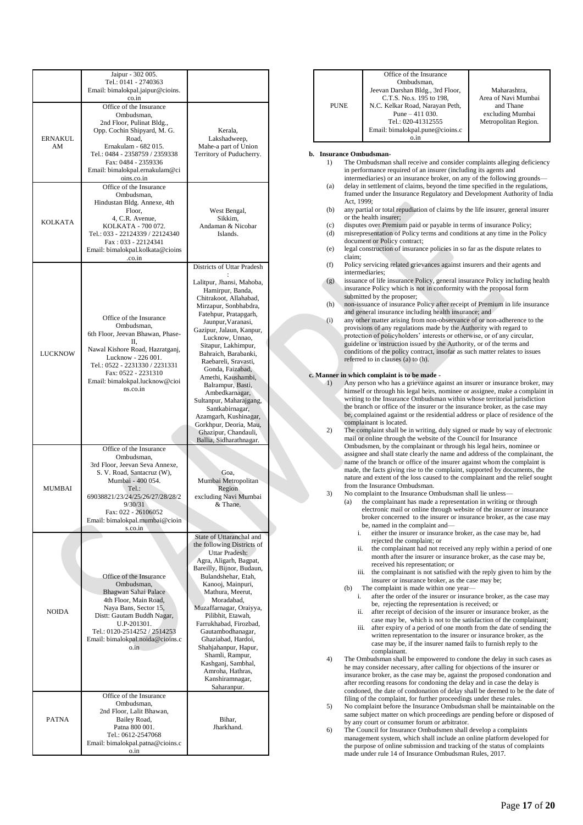|                | Jaipur - 302 005.<br>Tel.: 0141 - 2740363             |                                                 |                               | Office of the Insurance<br>Ombudsman,                                                         |
|----------------|-------------------------------------------------------|-------------------------------------------------|-------------------------------|-----------------------------------------------------------------------------------------------|
|                | Email: bimalokpal.jaipur@cioins.<br>co.in             |                                                 |                               | Jeevan Darshan Bldg., 3rd Floor,<br>C.T.S. No.s. 195 to 198,                                  |
|                | Office of the Insurance                               |                                                 | <b>PUNE</b>                   | N.C. Kelkar Road, Narayan Peth,                                                               |
|                | Ombudsman,                                            |                                                 |                               | Pune $-411$ 030.                                                                              |
|                | 2nd Floor, Pulinat Bldg.,                             |                                                 |                               | Tel.: 020-41312555<br>Email: bimalokpal.pune@cioins.c                                         |
| <b>ERNAKUL</b> | Opp. Cochin Shipyard, M. G.<br>Road,                  | Kerala,<br>Lakshadweep,                         |                               | o.in                                                                                          |
| AM             | Ernakulam - 682 015.                                  | Mahe-a part of Union                            |                               |                                                                                               |
|                | Tel.: 0484 - 2358759 / 2359338<br>Fax: 0484 - 2359336 | Territory of Puducherry.                        | b. Insurance Ombudsman-<br>1) | The Ombudsman shall receive and consider                                                      |
|                | Email: bimalokpal.ernakulam@ci                        |                                                 |                               | in performance required of an insurer (inclu                                                  |
|                | oins.co.in                                            |                                                 |                               | intermediaries) or an insurance broker, on a                                                  |
|                | Office of the Insurance<br>Ombudsman,                 |                                                 | (a)                           | delay in settlement of claims, beyond the til<br>framed under the Insurance Regulatory and    |
|                | Hindustan Bldg. Annexe, 4th                           |                                                 |                               | Act, 1999;                                                                                    |
|                | Floor,                                                | West Bengal,                                    | (b)                           | any partial or total repudiation of claims by                                                 |
| <b>KOLKATA</b> | 4, C.R. Avenue,<br>KOLKATA - 700 072.                 | Sikkim,<br>Andaman & Nicobar                    | (c)                           | or the health insurer;<br>disputes over Premium paid or payable in to                         |
|                | Tel.: 033 - 22124339 / 22124340                       | Islands.                                        | (d)                           | misrepresentation of Policy terms and cond                                                    |
|                | Fax: 033 - 22124341                                   |                                                 | (e)                           | document or Policy contract;<br>legal construction of insurance policies in s                 |
|                | Email: bimalokpal.kolkata@cioins<br>.co.in            |                                                 | claim;                        |                                                                                               |
|                |                                                       | Districts of Uttar Pradesh                      | (f)                           | Policy servicing related grievances against                                                   |
|                |                                                       |                                                 | (g)                           | intermediaries:<br>issuance of life insurance Policy, general in                              |
|                |                                                       | Lalitpur, Jhansi, Mahoba,<br>Hamirpur, Banda,   |                               | insurance Policy which is not in conformity                                                   |
|                |                                                       | Chitrakoot, Allahabad,                          |                               | submitted by the proposer;                                                                    |
|                |                                                       | Mirzapur, Sonbhabdra,                           | (h)                           | non-issuance of insurance Policy after recei<br>and general insurance including health insu   |
|                | Office of the Insurance                               | Fatehpur, Pratapgarh,<br>Jaunpur, Varanasi,     | (i)                           | any other matter arising from non-observan                                                    |
|                | Ombudsman,<br>6th Floor, Jeevan Bhawan, Phase-        | Gazipur, Jalaun, Kanpur,                        |                               | provisions of any regulations made by the A                                                   |
|                | П,                                                    | Lucknow, Unnao,<br>Sitapur, Lakhimpur,          |                               | protection of policyholders' interests or oth<br>guideline or instruction issued by the Autho |
| <b>LUCKNOW</b> | Nawal Kishore Road, Hazratganj,                       | Bahraich, Barabanki,                            |                               | conditions of the policy contract, insofar as                                                 |
|                | Lucknow - 226 001.<br>Tel.: 0522 - 2231330 / 2231331  | Raebareli, Sravasti,                            |                               | referred to in clauses (a) to (h).                                                            |
|                | Fax: 0522 - 2231310                                   | Gonda, Faizabad,<br>Amethi, Kaushambi,          |                               | c. Manner in which complaint is to be made -                                                  |
|                | Email: bimalokpal.lucknow@cioi<br>ns.co.in            | Balrampur, Basti,                               | 1)                            | Any person who has a grievance against an                                                     |
|                |                                                       | Ambedkarnagar,                                  |                               | himself or through his legal heirs, nominee<br>writing to the Insurance Ombudsman within      |
|                |                                                       | Sultanpur, Maharajgang,<br>Santkabirnagar,      |                               | the branch or office of the insurer or the ins                                                |
|                |                                                       | Azamgarh, Kushinagar,                           |                               | be, complained against or the residential ad                                                  |
|                |                                                       | Gorkhpur, Deoria, Mau,                          | 2)                            | complainant is located.<br>The complaint shall be in writing, duly sign                       |
|                |                                                       | Ghazipur, Chandauli,<br>Ballia, Sidharathnagar. |                               | mail or online through the website of the C                                                   |
|                | Office of the Insurance                               |                                                 |                               | Ombudsmen, by the complainant or through<br>assignee and shall state clearly the name an      |
|                | Ombudsman,<br>3rd Floor, Jeevan Seva Annexe,          |                                                 |                               | name of the branch or office of the insurer a                                                 |
|                | S. V. Road, Santacruz (W),                            | Goa,                                            |                               | made, the facts giving rise to the complaint                                                  |
|                | Mumbai - 400 054.                                     | Mumbai Metropolitan                             |                               | nature and extent of the loss caused to the c<br>from the Insurance Ombudsman.                |
| <b>MUMBAI</b>  | Tel.:<br>69038821/23/24/25/26/27/28/28/2              | Region<br>excluding Navi Mumbai                 | 3)                            | No complaint to the Insurance Ombudsman                                                       |
|                | 9/30/31                                               | & Thane.                                        | (a)                           | the complainant has made a represen                                                           |
|                | Fax: 022 - 26106052                                   |                                                 |                               | electronic mail or online through wel<br>broker concerned to the insurer or in                |
|                | Email: bimalokpal.mumbai@cioin<br>s.co.in             |                                                 |                               | be, named in the complaint and—                                                               |
|                |                                                       | State of Uttaranchal and                        |                               | i.<br>either the insurer or insurance bro                                                     |
|                |                                                       | the following Districts of                      |                               | rejected the complaint; or<br>the complainant had not received<br>ii.                         |
|                |                                                       | Uttar Pradesh:<br>Agra, Aligarh, Bagpat,        |                               | month after the insurer or insuran                                                            |
|                |                                                       | Bareilly, Bijnor, Budaun,                       |                               | received his representation; or<br>iii. the complainant is not satisfied w                    |
|                | Office of the Insurance                               | Bulandshehar, Etah,                             |                               | insurer or insurance broker, as the                                                           |
|                | Ombudsman,<br>Bhagwan Sahai Palace                    | Kanooj, Mainpuri,<br>Mathura, Meerut,           | (b)                           | The complaint is made within one ye                                                           |
|                | 4th Floor, Main Road,                                 | Moradabad,                                      |                               | after the order of the insurer or in<br>i.<br>be, rejecting the representation is             |
| <b>NOIDA</b>   | Naya Bans, Sector 15,<br>Distt: Gautam Buddh Nagar,   | Muzaffarnagar, Oraiyya,<br>Pilibhit, Etawah,    |                               | after receipt of decision of the ins<br>ii.                                                   |
|                | U.P-201301.                                           | Farrukhabad, Firozbad,                          |                               | case may be, which is not to the                                                              |
|                | Tel.: 0120-2514252 / 2514253                          | Gautambodhanagar,                               |                               | after expiry of a period of one mo<br>iii.<br>written representation to the insur             |
|                | Email: bimalokpal.noida@cioins.c<br>o.in              | Ghaziabad, Hardoi,<br>Shahjahanpur, Hapur,      |                               | case may be, if the insurer named                                                             |
|                |                                                       | Shamli, Rampur,                                 |                               | complainant.                                                                                  |
|                |                                                       | Kashganj, Sambhal,                              | 4)                            | The Ombudsman shall be empowered to co<br>he may consider necessary, after calling for        |
|                |                                                       | Amroha, Hathras,<br>Kanshiramnagar,             |                               | insurance broker, as the case may be, again                                                   |
|                |                                                       | Saharanpur.                                     |                               | after recording reasons for condoning the d                                                   |
|                | Office of the Insurance                               |                                                 |                               | condoned, the date of condonation of delay<br>filing of the complaint, for further proceedi   |
|                | Ombudsman,<br>2nd Floor, Lalit Bhawan,                |                                                 | 5)                            | No complaint before the Insurance Ombuds                                                      |
| <b>PATNA</b>   | Bailey Road,                                          | Bihar,                                          |                               | same subject matter on which proceedings<br>by any court or consumer forum or arbitrate       |
|                | Patna 800 001.<br>Tel.: 0612-2547068                  | Jharkhand.                                      | 6)                            | The Council for Insurance Ombudsmen sha                                                       |
|                | Email: bimalokpal.patna@cioins.c                      |                                                 |                               | management system, which shall include at                                                     |
|                | o.in                                                  |                                                 |                               | the purpose of online submission and tracki<br>made under rule 14 of Insurance Ombudsm        |

|          | 0.1n                                                                                                                                            |  |  |  |  |
|----------|-------------------------------------------------------------------------------------------------------------------------------------------------|--|--|--|--|
|          | b. Insurance Ombudsman-                                                                                                                         |  |  |  |  |
| 1)       |                                                                                                                                                 |  |  |  |  |
|          | The Ombudsman shall receive and consider complaints alleging deficiency<br>in performance required of an insurer (including its agents and      |  |  |  |  |
|          | intermediaries) or an insurance broker, on any of the following grounds—                                                                        |  |  |  |  |
|          |                                                                                                                                                 |  |  |  |  |
| (a)      | delay in settlement of claims, beyond the time specified in the regulations,                                                                    |  |  |  |  |
|          | framed under the Insurance Regulatory and Development Authority of India<br>Act, 1999;                                                          |  |  |  |  |
| (b)      | any partial or total repudiation of claims by the life insurer, general insurer                                                                 |  |  |  |  |
|          | or the health insurer;                                                                                                                          |  |  |  |  |
| (c)      | disputes over Premium paid or payable in terms of insurance Policy;                                                                             |  |  |  |  |
| (d)      | misrepresentation of Policy terms and conditions at any time in the Policy                                                                      |  |  |  |  |
|          | document or Policy contract;                                                                                                                    |  |  |  |  |
| (e)      | legal construction of insurance policies in so far as the dispute relates to                                                                    |  |  |  |  |
|          | claim:                                                                                                                                          |  |  |  |  |
| (f)      | Policy servicing related grievances against insurers and their agents and                                                                       |  |  |  |  |
|          | intermediaries:                                                                                                                                 |  |  |  |  |
| (g)      | issuance of life insurance Policy, general insurance Policy including health                                                                    |  |  |  |  |
|          | insurance Policy which is not in conformity with the proposal form                                                                              |  |  |  |  |
|          | submitted by the proposer;                                                                                                                      |  |  |  |  |
| (h)      | non-issuance of insurance Policy after receipt of Premium in life insurance                                                                     |  |  |  |  |
|          | and general insurance including health insurance; and                                                                                           |  |  |  |  |
| $\rm(i)$ | any other matter arising from non-observance of or non-adherence to the                                                                         |  |  |  |  |
|          | provisions of any regulations made by the Authority with regard to                                                                              |  |  |  |  |
|          | protection of policyholders' interests or otherwise, or of any circular,                                                                        |  |  |  |  |
|          | guideline or instruction issued by the Authority, or of the terms and                                                                           |  |  |  |  |
|          | conditions of the policy contract, insofar as such matter relates to issues                                                                     |  |  |  |  |
|          | referred to in clauses (a) to (h).                                                                                                              |  |  |  |  |
|          |                                                                                                                                                 |  |  |  |  |
|          | c. Manner in which complaint is to be made -                                                                                                    |  |  |  |  |
| 1)       | Any person who has a grievance against an insurer or insurance broker, may                                                                      |  |  |  |  |
|          | himself or through his legal heirs, nominee or assignee, make a complaint in                                                                    |  |  |  |  |
|          | writing to the Insurance Ombudsman within whose territorial jurisdiction                                                                        |  |  |  |  |
|          | the branch or office of the insurer or the insurance broker, as the case may                                                                    |  |  |  |  |
|          | be, complained against or the residential address or place of residence of the                                                                  |  |  |  |  |
|          | complainant is located.                                                                                                                         |  |  |  |  |
| 2)       | The complaint shall be in writing, duly signed or made by way of electronic                                                                     |  |  |  |  |
|          | mail or online through the website of the Council for Insurance                                                                                 |  |  |  |  |
|          | Ombudsmen, by the complainant or through his legal heirs, nominee or                                                                            |  |  |  |  |
|          | assignee and shall state clearly the name and address of the complainant, the                                                                   |  |  |  |  |
|          | name of the branch or office of the insurer against whom the complaint is                                                                       |  |  |  |  |
|          | made, the facts giving rise to the complaint, supported by documents, the                                                                       |  |  |  |  |
|          | nature and extent of the loss caused to the complainant and the relief sought<br>from the Insurance Ombudsman.                                  |  |  |  |  |
| 3)       | No complaint to the Insurance Ombudsman shall lie unless-                                                                                       |  |  |  |  |
|          |                                                                                                                                                 |  |  |  |  |
|          | the complainant has made a representation in writing or through<br>(a)<br>electronic mail or online through website of the insurer or insurance |  |  |  |  |
|          | broker concerned to the insurer or insurance broker, as the case may                                                                            |  |  |  |  |
|          | be, named in the complaint and-                                                                                                                 |  |  |  |  |
|          | either the insurer or insurance broker, as the case may be, had<br>i.                                                                           |  |  |  |  |
|          | rejected the complaint; or                                                                                                                      |  |  |  |  |
|          | ii.<br>the complainant had not received any reply within a period of one                                                                        |  |  |  |  |
|          | month after the insurer or insurance broker, as the case may be,                                                                                |  |  |  |  |
|          | received his representation; or                                                                                                                 |  |  |  |  |
|          | the complainant is not satisfied with the reply given to him by the<br>iii.                                                                     |  |  |  |  |
|          |                                                                                                                                                 |  |  |  |  |

Maharashtra, Area of Navi Mumbai and Thane excluding Mumbai Metropolitan Region.

- or insurance broker, as the case may be; aint is made within one year-
- e order of the insurer or insurance broker, as the case may ecting the representation is received; or
- ceipt of decision of the insurer or insurance broker, as the ay be, which is not to the satisfaction of the complainant;
- iii. after expiry of a period of one month from the date of sending the written representation to the insurer or insurance broker, as the ay be, if the insurer named fails to furnish reply to the inant.

shall be empowered to condone the delay in such cases as hecessary, after calling for objections of the insurer or as the case may be, against the proposed condonation and after recording reasons for condoning the delay and in case the delay is condoned, the date of condonation of delay shall be deemed to be the date of blaint, for further proceedings under these rules.

fore the Insurance Ombudsman shall be maintainable on the ter on which proceedings are pending before or disposed of onsumer forum or arbitrator.

6) The Council for Insurance Ombudsmen shall develop a complaints em, which shall include an online platform developed for the purpose of online submission and tracking of the status of complaints made under rule 14 of Insurance Ombudsman Rules, 2017.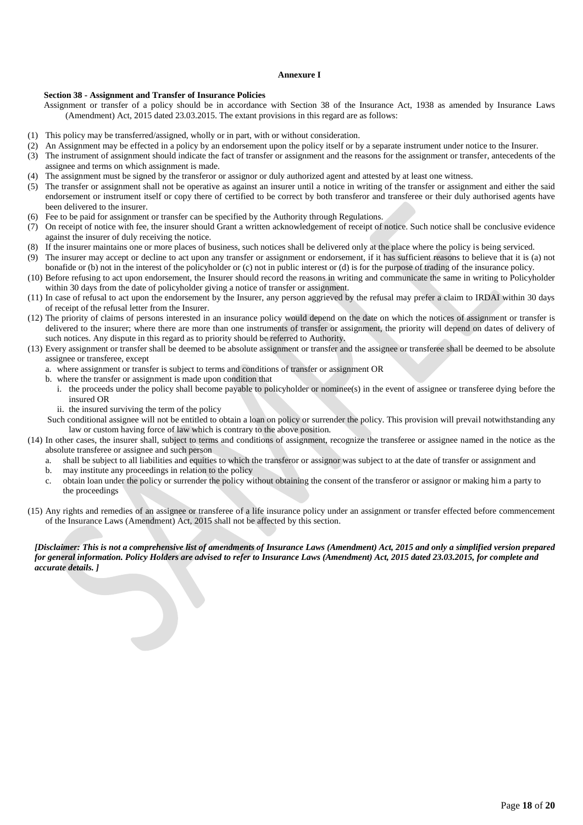### **Annexure I**

### **Section 38 - Assignment and Transfer of Insurance Policies**

Assignment or transfer of a policy should be in accordance with Section 38 of the Insurance Act, 1938 as amended by Insurance Laws (Amendment) Act, 2015 dated 23.03.2015. The extant provisions in this regard are as follows:

- (1) This policy may be transferred/assigned, wholly or in part, with or without consideration.
- (2) An Assignment may be effected in a policy by an endorsement upon the policy itself or by a separate instrument under notice to the Insurer.
- (3) The instrument of assignment should indicate the fact of transfer or assignment and the reasons for the assignment or transfer, antecedents of the assignee and terms on which assignment is made.
- (4) The assignment must be signed by the transferor or assignor or duly authorized agent and attested by at least one witness.
- (5) The transfer or assignment shall not be operative as against an insurer until a notice in writing of the transfer or assignment and either the said endorsement or instrument itself or copy there of certified to be correct by both transferor and transferee or their duly authorised agents have been delivered to the insurer.
- (6) Fee to be paid for assignment or transfer can be specified by the Authority through Regulations.
- (7) On receipt of notice with fee, the insurer should Grant a written acknowledgement of receipt of notice. Such notice shall be conclusive evidence against the insurer of duly receiving the notice.
- (8) If the insurer maintains one or more places of business, such notices shall be delivered only at the place where the policy is being serviced.
- (9) The insurer may accept or decline to act upon any transfer or assignment or endorsement, if it has sufficient reasons to believe that it is (a) not bonafide or (b) not in the interest of the policyholder or (c) not in public interest or (d) is for the purpose of trading of the insurance policy.
- (10) Before refusing to act upon endorsement, the Insurer should record the reasons in writing and communicate the same in writing to Policyholder within 30 days from the date of policyholder giving a notice of transfer or assignment.
- (11) In case of refusal to act upon the endorsement by the Insurer, any person aggrieved by the refusal may prefer a claim to IRDAI within 30 days of receipt of the refusal letter from the Insurer.
- (12) The priority of claims of persons interested in an insurance policy would depend on the date on which the notices of assignment or transfer is delivered to the insurer; where there are more than one instruments of transfer or assignment, the priority will depend on dates of delivery of such notices. Any dispute in this regard as to priority should be referred to Authority.
- (13) Every assignment or transfer shall be deemed to be absolute assignment or transfer and the assignee or transferee shall be deemed to be absolute assignee or transferee, except
	- a. where assignment or transfer is subject to terms and conditions of transfer or assignment OR
	- b. where the transfer or assignment is made upon condition that
		- i. the proceeds under the policy shall become payable to policyholder or nominee(s) in the event of assignee or transferee dying before the insured OR
		- ii. the insured surviving the term of the policy
	- Such conditional assignee will not be entitled to obtain a loan on policy or surrender the policy. This provision will prevail notwithstanding any law or custom having force of law which is contrary to the above position.
- (14) In other cases, the insurer shall, subject to terms and conditions of assignment, recognize the transferee or assignee named in the notice as the absolute transferee or assignee and such person
	- a. shall be subject to all liabilities and equities to which the transferor or assignor was subject to at the date of transfer or assignment and
	- b. may institute any proceedings in relation to the policy
	- c. obtain loan under the policy or surrender the policy without obtaining the consent of the transferor or assignor or making him a party to the proceedings
- (15) Any rights and remedies of an assignee or transferee of a life insurance policy under an assignment or transfer effected before commencement of the Insurance Laws (Amendment) Act, 2015 shall not be affected by this section.

### *[Disclaimer: This is not a comprehensive list of amendments of Insurance Laws (Amendment) Act, 2015 and only a simplified version prepared for general information. Policy Holders are advised to refer to Insurance Laws (Amendment) Act, 2015 dated 23.03.2015, for complete and accurate details. ]*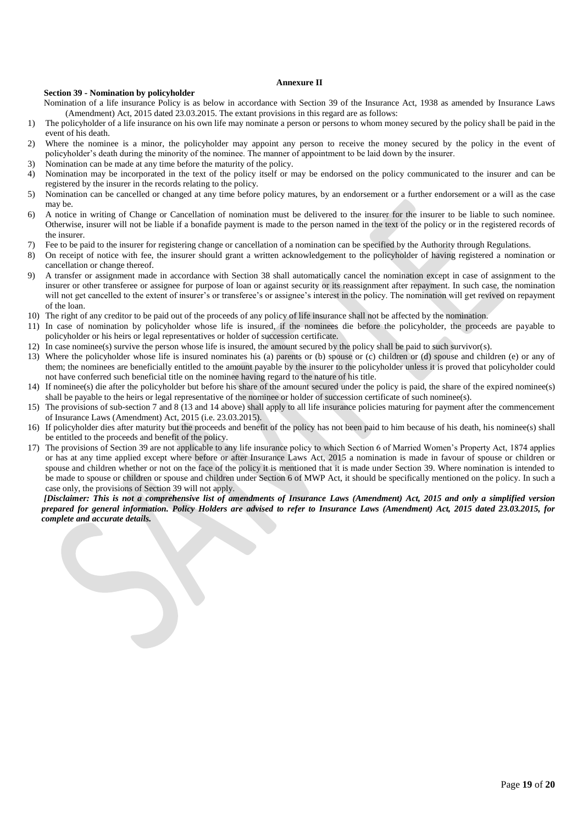### **Annexure II**

### **Section 39 - Nomination by policyholder**

Nomination of a life insurance Policy is as below in accordance with Section 39 of the Insurance Act, 1938 as amended by Insurance Laws (Amendment) Act, 2015 dated 23.03.2015. The extant provisions in this regard are as follows:

- 1) The policyholder of a life insurance on his own life may nominate a person or persons to whom money secured by the policy shall be paid in the event of his death.
- 2) Where the nominee is a minor, the policyholder may appoint any person to receive the money secured by the policy in the event of policyholder's death during the minority of the nominee. The manner of appointment to be laid down by the insurer.
- 3) Nomination can be made at any time before the maturity of the policy.
- 4) Nomination may be incorporated in the text of the policy itself or may be endorsed on the policy communicated to the insurer and can be registered by the insurer in the records relating to the policy.
- 5) Nomination can be cancelled or changed at any time before policy matures, by an endorsement or a further endorsement or a will as the case may be.
- 6) A notice in writing of Change or Cancellation of nomination must be delivered to the insurer for the insurer to be liable to such nominee. Otherwise, insurer will not be liable if a bonafide payment is made to the person named in the text of the policy or in the registered records of the insurer.
- 7) Fee to be paid to the insurer for registering change or cancellation of a nomination can be specified by the Authority through Regulations.
- 8) On receipt of notice with fee, the insurer should grant a written acknowledgement to the policyholder of having registered a nomination or cancellation or change thereof.
- 9) A transfer or assignment made in accordance with Section 38 shall automatically cancel the nomination except in case of assignment to the insurer or other transferee or assignee for purpose of loan or against security or its reassignment after repayment. In such case, the nomination will not get cancelled to the extent of insurer's or transferee's or assignee's interest in the policy. The nomination will get revived on repayment of the loan.
- 10) The right of any creditor to be paid out of the proceeds of any policy of life insurance shall not be affected by the nomination.
- 11) In case of nomination by policyholder whose life is insured, if the nominees die before the policyholder, the proceeds are payable to policyholder or his heirs or legal representatives or holder of succession certificate.
- 12) In case nominee(s) survive the person whose life is insured, the amount secured by the policy shall be paid to such survivor(s).
- 13) Where the policyholder whose life is insured nominates his (a) parents or (b) spouse or (c) children or (d) spouse and children (e) or any of them; the nominees are beneficially entitled to the amount payable by the insurer to the policyholder unless it is proved that policyholder could not have conferred such beneficial title on the nominee having regard to the nature of his title.
- 14) If nominee(s) die after the policyholder but before his share of the amount secured under the policy is paid, the share of the expired nominee(s) shall be payable to the heirs or legal representative of the nominee or holder of succession certificate of such nominee(s).
- 15) The provisions of sub-section 7 and 8 (13 and 14 above) shall apply to all life insurance policies maturing for payment after the commencement of Insurance Laws (Amendment) Act, 2015 (i.e. 23.03.2015).
- 16) If policyholder dies after maturity but the proceeds and benefit of the policy has not been paid to him because of his death, his nominee(s) shall be entitled to the proceeds and benefit of the policy.
- 17) The provisions of Section 39 are not applicable to any life insurance policy to which Section 6 of Married Women's Property Act, 1874 applies or has at any time applied except where before or after Insurance Laws Act, 2015 a nomination is made in favour of spouse or children or spouse and children whether or not on the face of the policy it is mentioned that it is made under Section 39. Where nomination is intended to be made to spouse or children or spouse and children under Section 6 of MWP Act, it should be specifically mentioned on the policy. In such a case only, the provisions of Section 39 will not apply.

*[Disclaimer: This is not a comprehensive list of amendments of Insurance Laws (Amendment) Act, 2015 and only a simplified version prepared for general information. Policy Holders are advised to refer to Insurance Laws (Amendment) Act, 2015 dated 23.03.2015, for complete and accurate details.*